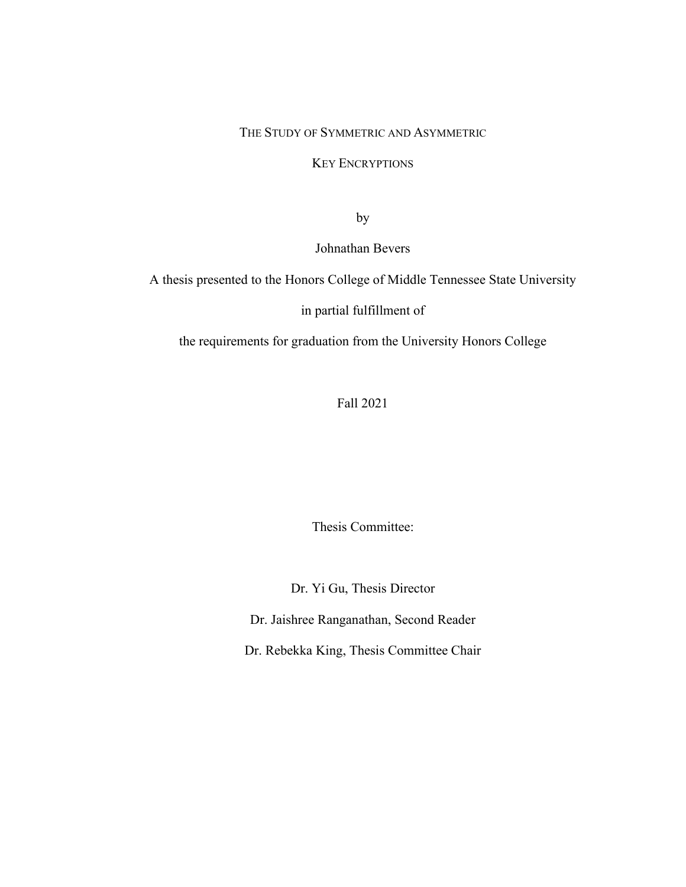#### THE STUDY OF SYMMETRIC AND ASYMMETRIC

#### KEY ENCRYPTIONS

by

Johnathan Bevers

A thesis presented to the Honors College of Middle Tennessee State University

in partial fulfillment of

the requirements for graduation from the University Honors College

Fall 2021

Thesis Committee:

Dr. Yi Gu, Thesis Director

Dr. Jaishree Ranganathan, Second Reader

Dr. Rebekka King, Thesis Committee Chair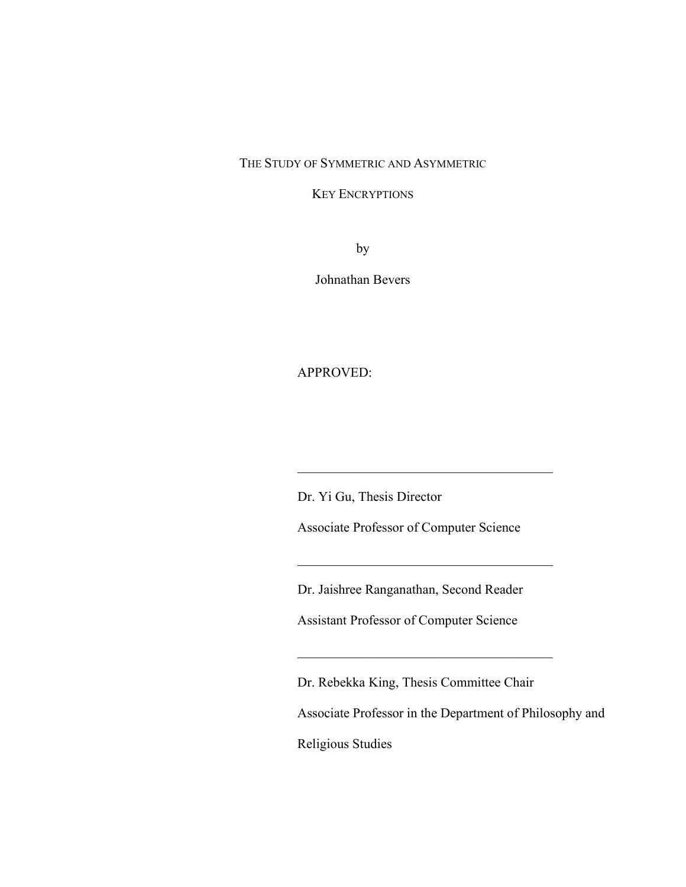#### THE STUDY OF SYMMETRIC AND ASYMMETRIC

#### KEY ENCRYPTIONS

by

Johnathan Bevers

#### APPROVED:

Dr. Yi Gu, Thesis Director

Associate Professor of Computer Science

\_\_\_\_\_\_\_\_\_\_\_\_\_\_\_\_\_\_\_\_\_\_\_\_\_\_\_\_\_\_\_\_\_\_\_\_\_\_

\_\_\_\_\_\_\_\_\_\_\_\_\_\_\_\_\_\_\_\_\_\_\_\_\_\_\_\_\_\_\_\_\_\_\_\_\_\_

Dr. Jaishree Ranganathan, Second Reader

Assistant Professor of Computer Science

Dr. Rebekka King, Thesis Committee Chair

Associate Professor in the Department of Philosophy and

Religious Studies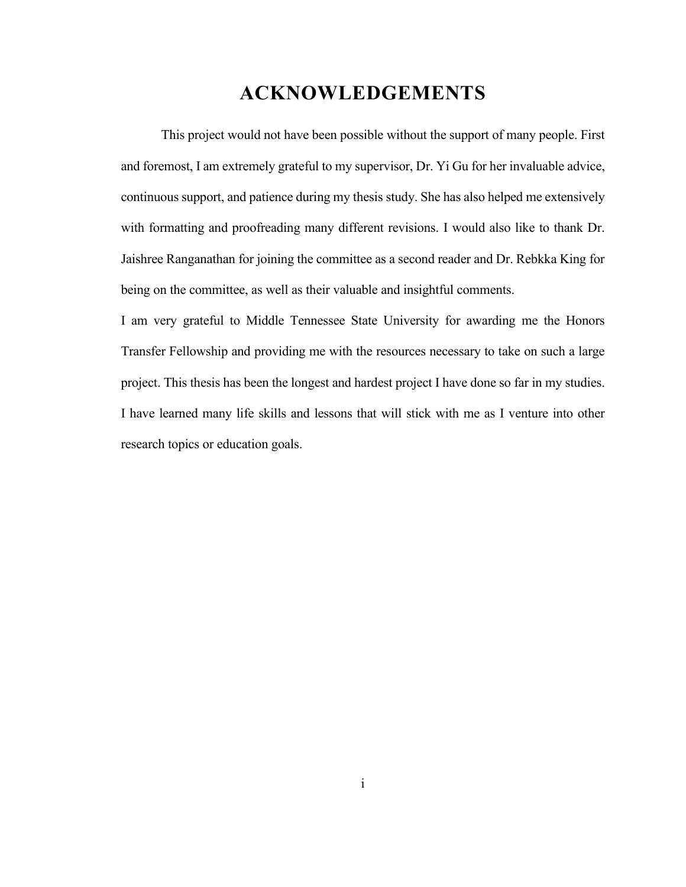## **ACKNOWLEDGEMENTS**

<span id="page-2-0"></span>This project would not have been possible without the support of many people. First and foremost, I am extremely grateful to my supervisor, Dr. Yi Gu for her invaluable advice, continuous support, and patience during my thesis study. She has also helped me extensively with formatting and proofreading many different revisions. I would also like to thank Dr. Jaishree Ranganathan for joining the committee as a second reader and Dr. Rebkka King for being on the committee, as well as their valuable and insightful comments.

I am very grateful to Middle Tennessee State University for awarding me the Honors Transfer Fellowship and providing me with the resources necessary to take on such a large project. This thesis has been the longest and hardest project I have done so far in my studies. I have learned many life skills and lessons that will stick with me as I venture into other research topics or education goals.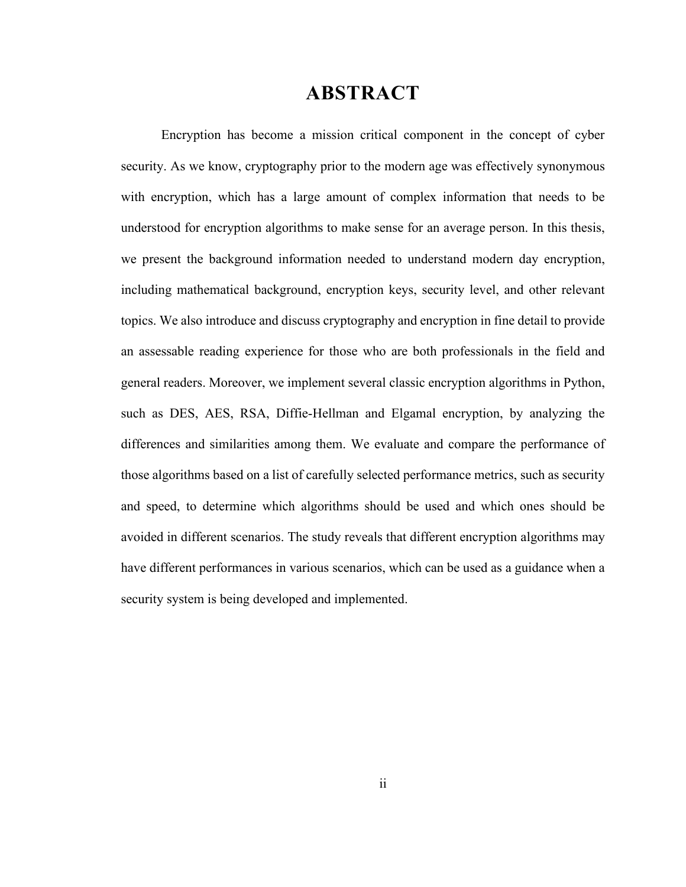### **ABSTRACT**

<span id="page-3-0"></span>Encryption has become a mission critical component in the concept of cyber security. As we know, cryptography prior to the modern age was effectively synonymous with encryption, which has a large amount of complex information that needs to be understood for encryption algorithms to make sense for an average person. In this thesis, we present the background information needed to understand modern day encryption, including mathematical background, encryption keys, security level, and other relevant topics. We also introduce and discuss cryptography and encryption in fine detail to provide an assessable reading experience for those who are both professionals in the field and general readers. Moreover, we implement several classic encryption algorithms in Python, such as DES, AES, RSA, Diffie-Hellman and Elgamal encryption, by analyzing the differences and similarities among them. We evaluate and compare the performance of those algorithms based on a list of carefully selected performance metrics, such as security and speed, to determine which algorithms should be used and which ones should be avoided in different scenarios. The study reveals that different encryption algorithms may have different performances in various scenarios, which can be used as a guidance when a security system is being developed and implemented.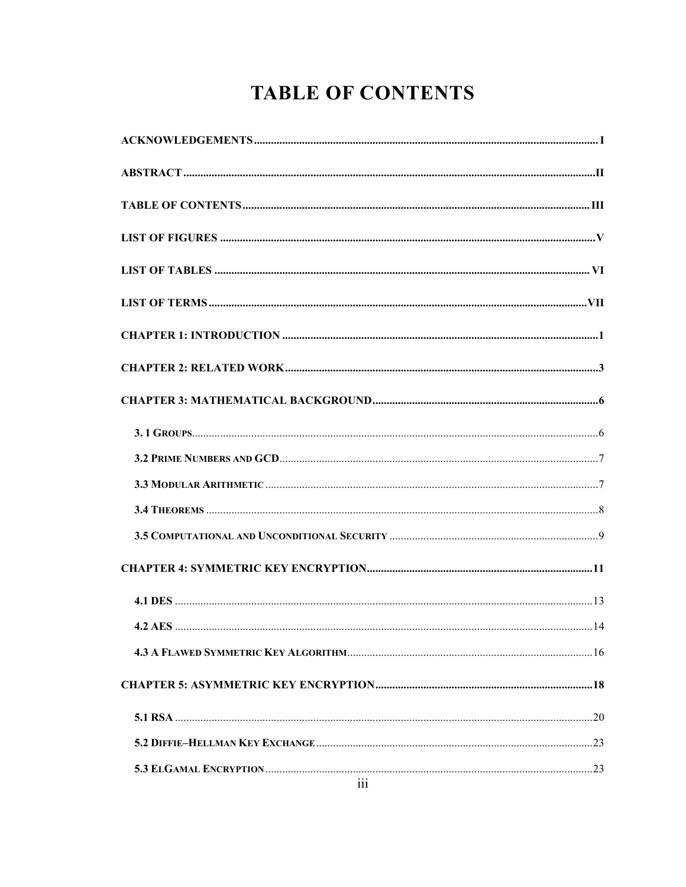# **TABLE OF CONTENTS**

<span id="page-4-0"></span>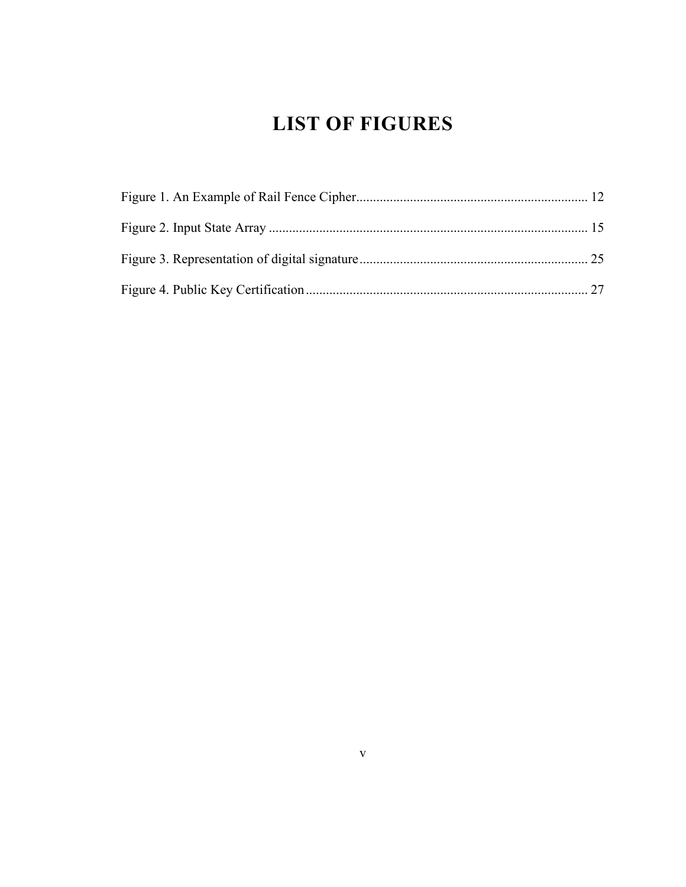# **LIST OF FIGURES**

<span id="page-6-0"></span>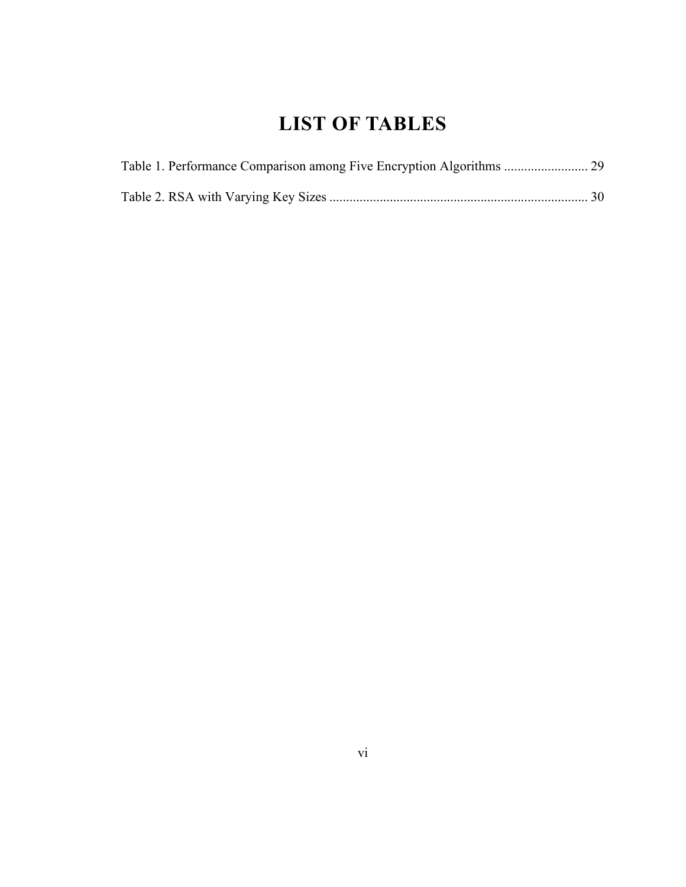## **LIST OF TABLES**

<span id="page-7-0"></span>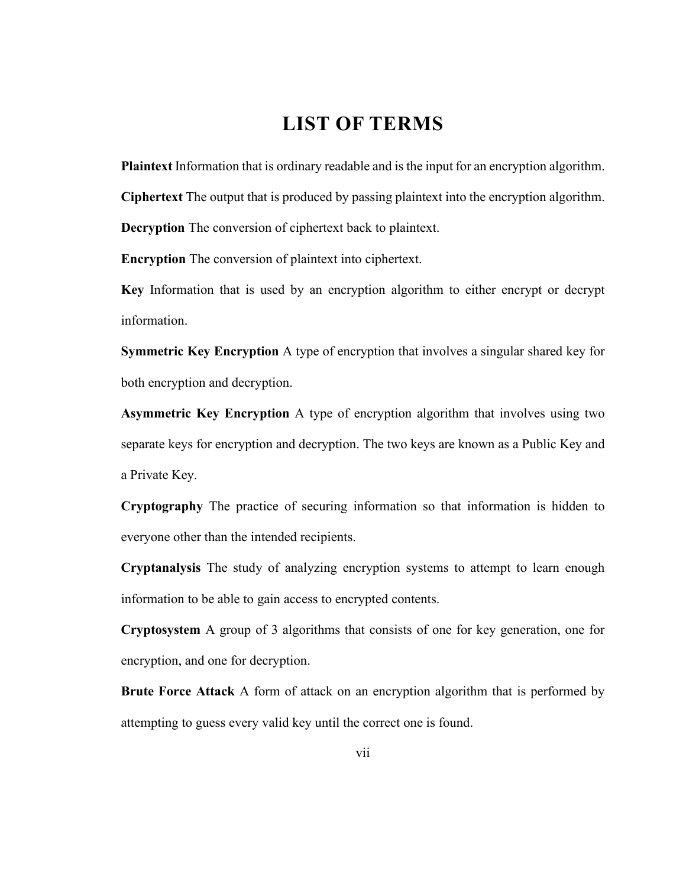## **LIST OF TERMS**

<span id="page-8-0"></span>**Plaintext** Information that is ordinary readable and is the input for an encryption algorithm.

**Ciphertext** The output that is produced by passing plaintext into the encryption algorithm.

**Decryption** The conversion of ciphertext back to plaintext.

**Encryption** The conversion of plaintext into ciphertext.

**Key** Information that is used by an encryption algorithm to either encrypt or decrypt information.

**Symmetric Key Encryption** A type of encryption that involves a singular shared key for both encryption and decryption.

**Asymmetric Key Encryption** A type of encryption algorithm that involves using two separate keys for encryption and decryption. The two keys are known as a Public Key and a Private Key.

**Cryptography** The practice of securing information so that information is hidden to everyone other than the intended recipients.

**Cryptanalysis** The study of analyzing encryption systems to attempt to learn enough information to be able to gain access to encrypted contents.

**Cryptosystem** A group of 3 algorithms that consists of one for key generation, one for encryption, and one for decryption.

**Brute Force Attack** A form of attack on an encryption algorithm that is performed by attempting to guess every valid key until the correct one is found.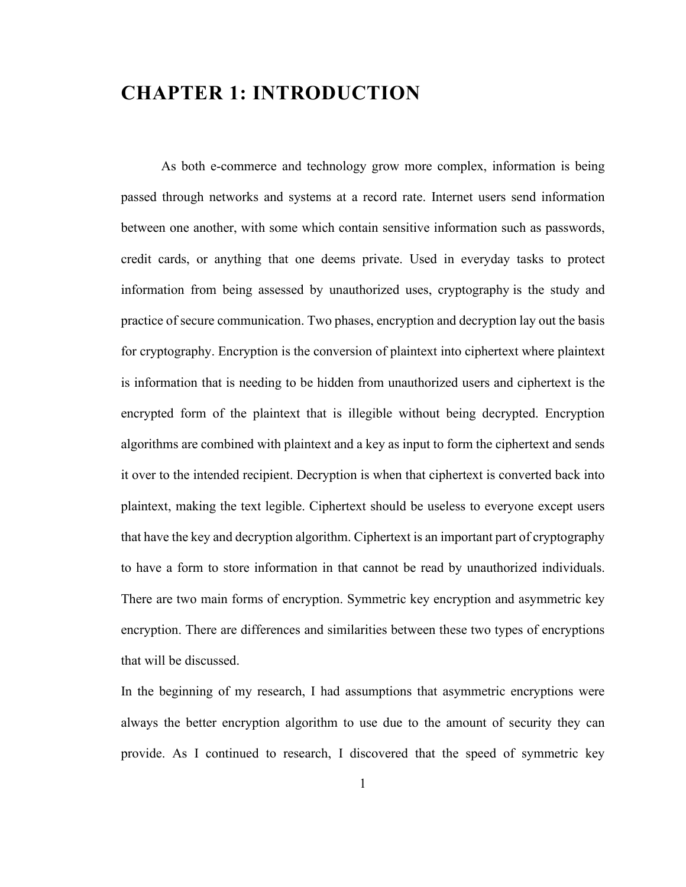## <span id="page-9-0"></span>**CHAPTER 1: INTRODUCTION**

As both e-commerce and technology grow more complex, information is being passed through networks and systems at a record rate. Internet users send information between one another, with some which contain sensitive information such as passwords, credit cards, or anything that one deems private. Used in everyday tasks to protect information from being assessed by unauthorized uses, cryptography is the study and practice of secure communication. Two phases, encryption and decryption lay out the basis for cryptography. Encryption is the conversion of plaintext into ciphertext where plaintext is information that is needing to be hidden from unauthorized users and ciphertext is the encrypted form of the plaintext that is illegible without being decrypted. Encryption algorithms are combined with plaintext and a key as input to form the ciphertext and sends it over to the intended recipient. Decryption is when that ciphertext is converted back into plaintext, making the text legible. Ciphertext should be useless to everyone except users that have the key and decryption algorithm. Ciphertext is an important part of cryptography to have a form to store information in that cannot be read by unauthorized individuals. There are two main forms of encryption. Symmetric key encryption and asymmetric key encryption. There are differences and similarities between these two types of encryptions that will be discussed.

In the beginning of my research, I had assumptions that asymmetric encryptions were always the better encryption algorithm to use due to the amount of security they can provide. As I continued to research, I discovered that the speed of symmetric key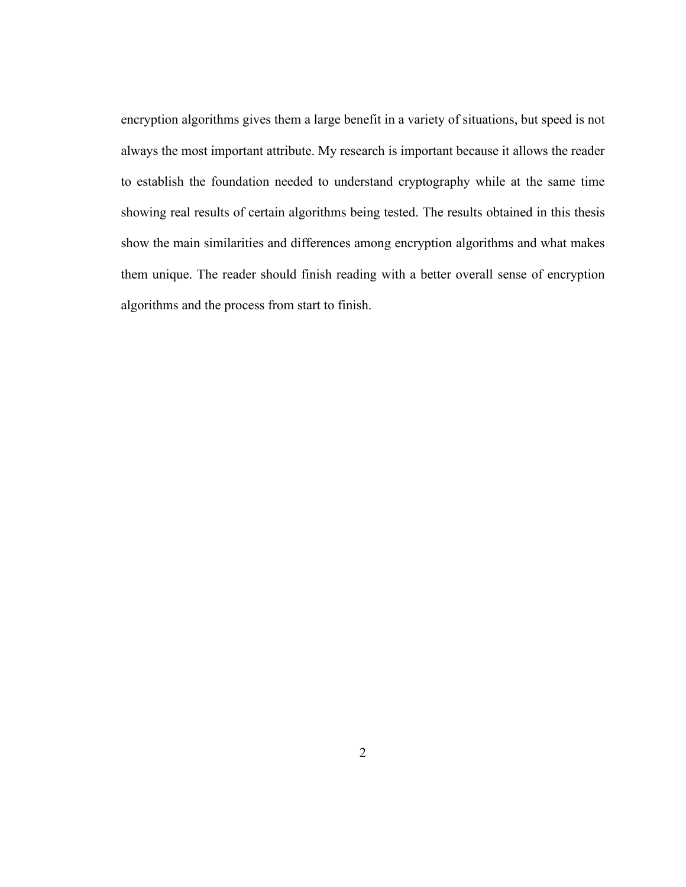encryption algorithms gives them a large benefit in a variety of situations, but speed is not always the most important attribute. My research is important because it allows the reader to establish the foundation needed to understand cryptography while at the same time showing real results of certain algorithms being tested. The results obtained in this thesis show the main similarities and differences among encryption algorithms and what makes them unique. The reader should finish reading with a better overall sense of encryption algorithms and the process from start to finish.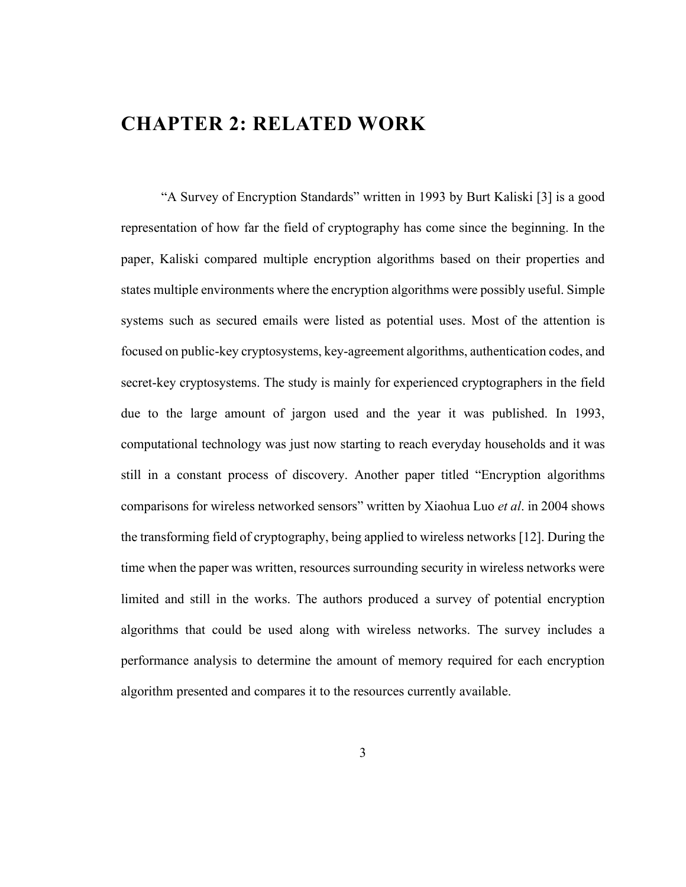## <span id="page-11-0"></span>**CHAPTER 2: RELATED WORK**

"A Survey of Encryption Standards" written in 1993 by Burt Kaliski [3] is a good representation of how far the field of cryptography has come since the beginning. In the paper, Kaliski compared multiple encryption algorithms based on their properties and states multiple environments where the encryption algorithms were possibly useful. Simple systems such as secured emails were listed as potential uses. Most of the attention is focused on public-key cryptosystems, key-agreement algorithms, authentication codes, and secret-key cryptosystems. The study is mainly for experienced cryptographers in the field due to the large amount of jargon used and the year it was published. In 1993, computational technology was just now starting to reach everyday households and it was still in a constant process of discovery. Another paper titled "Encryption algorithms comparisons for wireless networked sensors" written by Xiaohua Luo *et al*. in 2004 shows the transforming field of cryptography, being applied to wireless networks [12]. During the time when the paper was written, resources surrounding security in wireless networks were limited and still in the works. The authors produced a survey of potential encryption algorithms that could be used along with wireless networks. The survey includes a performance analysis to determine the amount of memory required for each encryption algorithm presented and compares it to the resources currently available.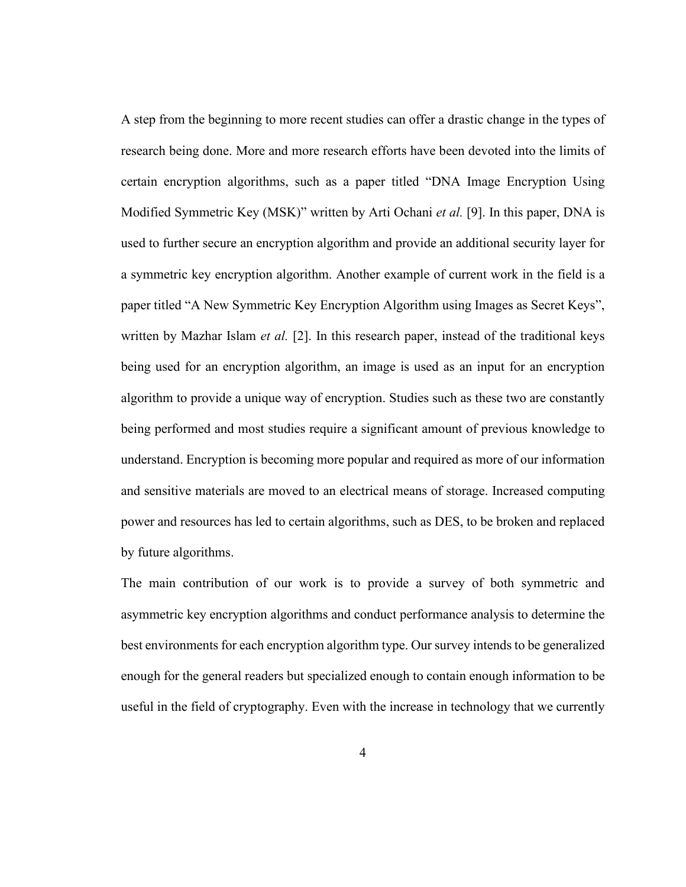A step from the beginning to more recent studies can offer a drastic change in the types of research being done. More and more research efforts have been devoted into the limits of certain encryption algorithms, such as a paper titled "DNA Image Encryption Using Modified Symmetric Key (MSK)" written by Arti Ochani *et al.* [9]. In this paper, DNA is used to further secure an encryption algorithm and provide an additional security layer for a symmetric key encryption algorithm. Another example of current work in the field is a paper titled "A New Symmetric Key Encryption Algorithm using Images as Secret Keys", written by Mazhar Islam *et al.* [2]. In this research paper, instead of the traditional keys being used for an encryption algorithm, an image is used as an input for an encryption algorithm to provide a unique way of encryption. Studies such as these two are constantly being performed and most studies require a significant amount of previous knowledge to understand. Encryption is becoming more popular and required as more of our information and sensitive materials are moved to an electrical means of storage. Increased computing power and resources has led to certain algorithms, such as DES, to be broken and replaced by future algorithms.

The main contribution of our work is to provide a survey of both symmetric and asymmetric key encryption algorithms and conduct performance analysis to determine the best environments for each encryption algorithm type. Our survey intends to be generalized enough for the general readers but specialized enough to contain enough information to be useful in the field of cryptography. Even with the increase in technology that we currently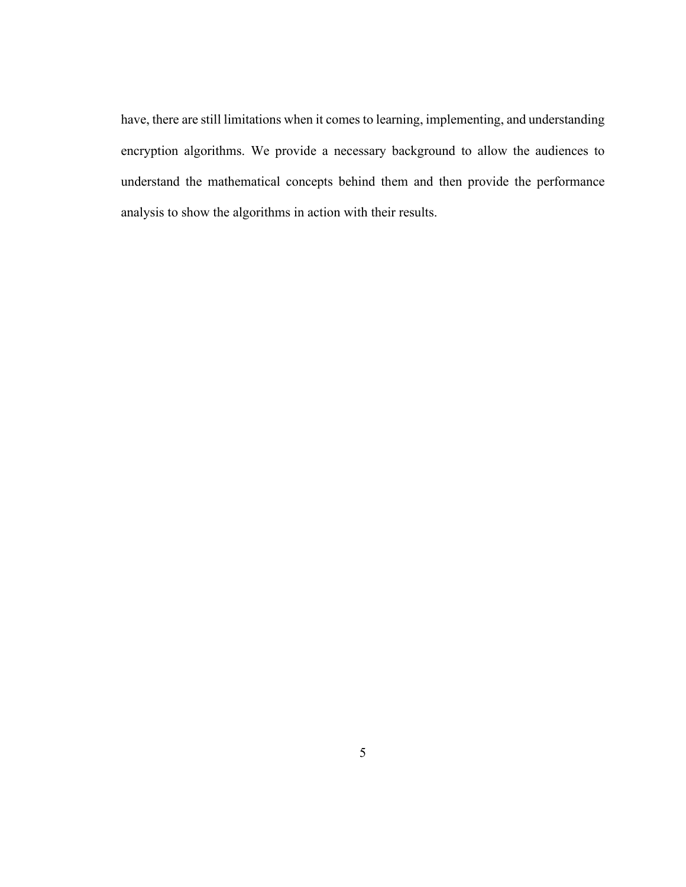have, there are still limitations when it comes to learning, implementing, and understanding encryption algorithms. We provide a necessary background to allow the audiences to understand the mathematical concepts behind them and then provide the performance analysis to show the algorithms in action with their results.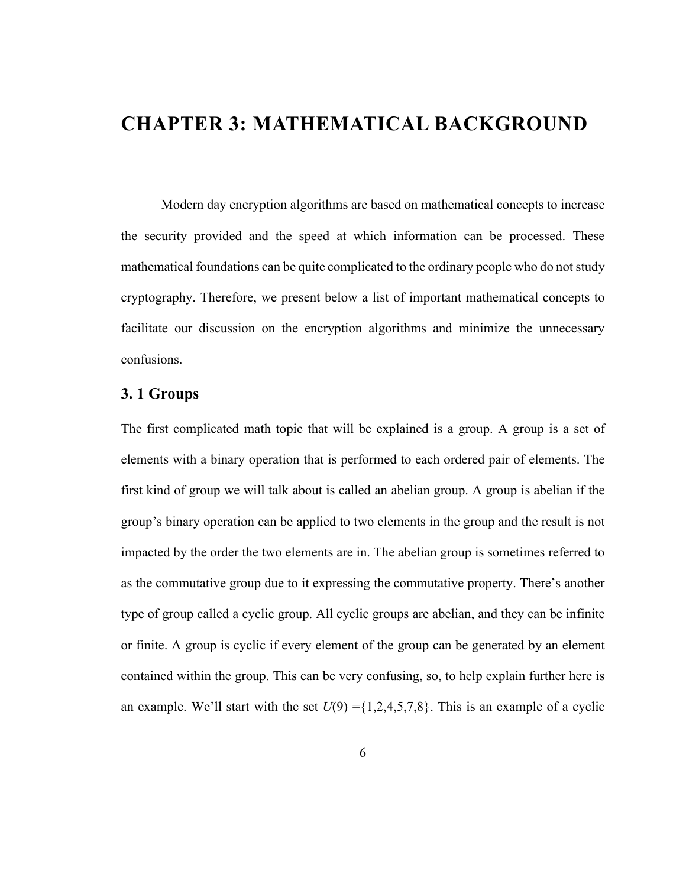## <span id="page-14-0"></span>**CHAPTER 3: MATHEMATICAL BACKGROUND**

Modern day encryption algorithms are based on mathematical concepts to increase the security provided and the speed at which information can be processed. These mathematical foundations can be quite complicated to the ordinary people who do not study cryptography. Therefore, we present below a list of important mathematical concepts to facilitate our discussion on the encryption algorithms and minimize the unnecessary confusions.

#### <span id="page-14-1"></span>**3. 1 Groups**

The first complicated math topic that will be explained is a group. A group is a set of elements with a binary operation that is performed to each ordered pair of elements. The first kind of group we will talk about is called an abelian group. A group is abelian if the group's binary operation can be applied to two elements in the group and the result is not impacted by the order the two elements are in. The abelian group is sometimes referred to as the commutative group due to it expressing the commutative property. There's another type of group called a cyclic group. All cyclic groups are abelian, and they can be infinite or finite. A group is cyclic if every element of the group can be generated by an element contained within the group. This can be very confusing, so, to help explain further here is an example. We'll start with the set  $U(9) = \{1,2,4,5,7,8\}$ . This is an example of a cyclic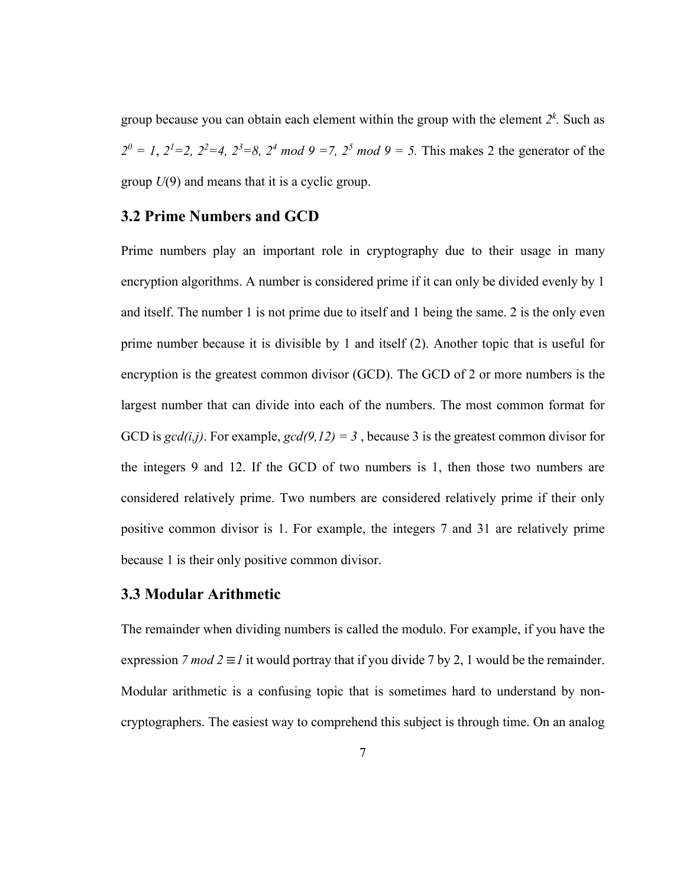group because you can obtain each element within the group with the element *2k .* Such as  $2^{0} = 1$ ,  $2^{1} = 2$ ,  $2^{2} = 4$ ,  $2^{3} = 8$ ,  $2^{4} \mod 9 = 7$ ,  $2^{5} \mod 9 = 5$ . This makes 2 the generator of the group *U*(9) and means that it is a cyclic group.

#### <span id="page-15-0"></span>**3.2 Prime Numbers and GCD**

Prime numbers play an important role in cryptography due to their usage in many encryption algorithms. A number is considered prime if it can only be divided evenly by 1 and itself. The number 1 is not prime due to itself and 1 being the same. 2 is the only even prime number because it is divisible by 1 and itself (2). Another topic that is useful for encryption is the greatest common divisor (GCD). The GCD of 2 or more numbers is the largest number that can divide into each of the numbers. The most common format for GCD is  $gcd(i,j)$ . For example,  $gcd(9,12) = 3$ , because 3 is the greatest common divisor for the integers 9 and 12. If the GCD of two numbers is 1, then those two numbers are considered relatively prime. Two numbers are considered relatively prime if their only positive common divisor is 1. For example, the integers 7 and 31 are relatively prime because 1 is their only positive common divisor.

#### <span id="page-15-1"></span>**3.3 Modular Arithmetic**

The remainder when dividing numbers is called the modulo. For example, if you have the expression *7 mod 2*  $\equiv$  *I* it would portray that if you divide 7 by 2, 1 would be the remainder. Modular arithmetic is a confusing topic that is sometimes hard to understand by noncryptographers. The easiest way to comprehend this subject is through time. On an analog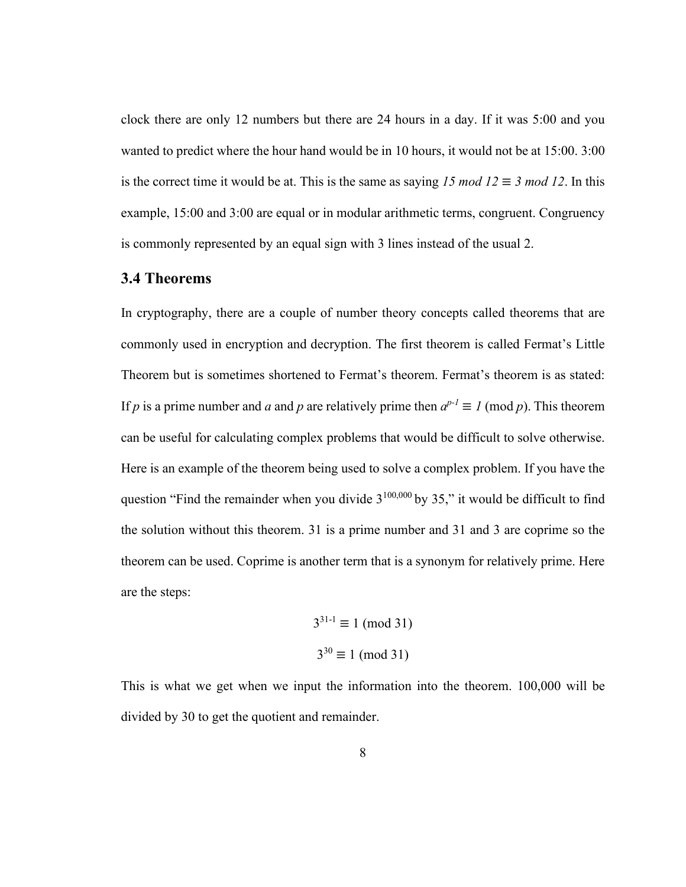clock there are only 12 numbers but there are 24 hours in a day. If it was 5:00 and you wanted to predict where the hour hand would be in 10 hours, it would not be at 15:00. 3:00 is the correct time it would be at. This is the same as saying  $15 \mod 12 \equiv 3 \mod 12$ . In this example, 15:00 and 3:00 are equal or in modular arithmetic terms, congruent. Congruency is commonly represented by an equal sign with 3 lines instead of the usual 2.

#### <span id="page-16-0"></span>**3.4 Theorems**

In cryptography, there are a couple of number theory concepts called theorems that are commonly used in encryption and decryption. The first theorem is called Fermat's Little Theorem but is sometimes shortened to Fermat's theorem. Fermat's theorem is as stated: If *p* is a prime number and *a* and *p* are relatively prime then  $a^{p-1} \equiv 1 \pmod{p}$ . This theorem can be useful for calculating complex problems that would be difficult to solve otherwise. Here is an example of the theorem being used to solve a complex problem. If you have the question "Find the remainder when you divide  $3^{100,000}$  by 35," it would be difficult to find the solution without this theorem. 31 is a prime number and 31 and 3 are coprime so the theorem can be used. Coprime is another term that is a synonym for relatively prime. Here are the steps:

$$
3^{31-1} \equiv 1 \pmod{31}
$$

$$
3^{30} \equiv 1 \pmod{31}
$$

This is what we get when we input the information into the theorem. 100,000 will be divided by 30 to get the quotient and remainder.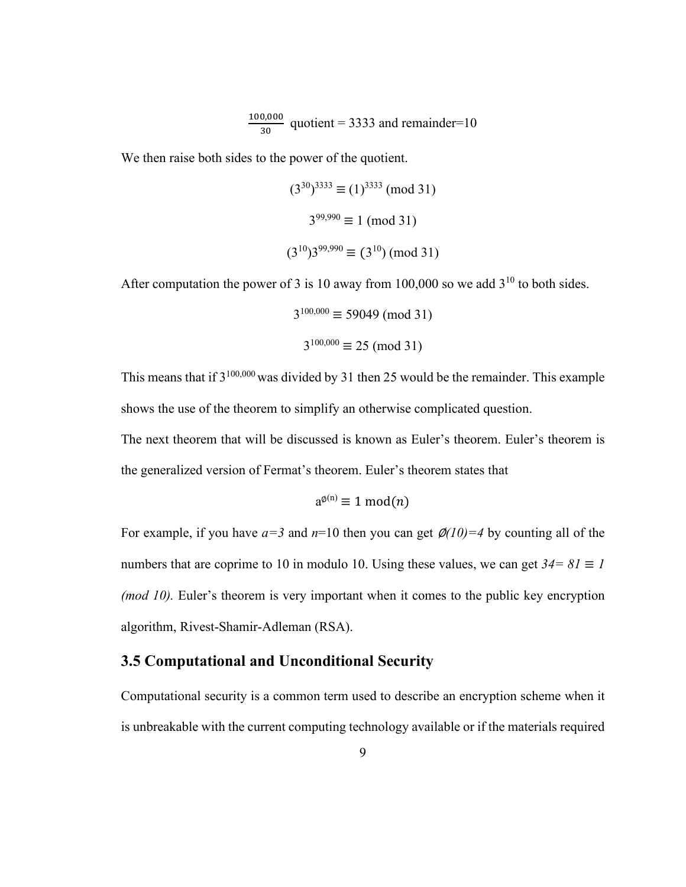$$
\frac{100,000}{30}
$$
 quotient = 3333 and remainder=10

We then raise both sides to the power of the quotient.

$$
(3^{30})^{3333} \equiv (1)^{3333} \pmod{31}
$$
  
 $3^{99,990} \equiv 1 \pmod{31}$   
 $(3^{10})3^{99,990} \equiv (3^{10}) \pmod{31}$ 

After computation the power of 3 is 10 away from 100,000 so we add  $3^{10}$  to both sides.

$$
3^{100,000} \equiv 59049 \pmod{31}
$$
  

$$
3^{100,000} \equiv 25 \pmod{31}
$$

This means that if  $3^{100,000}$  was divided by 31 then 25 would be the remainder. This example shows the use of the theorem to simplify an otherwise complicated question.

The next theorem that will be discussed is known as Euler's theorem. Euler's theorem is the generalized version of Fermat's theorem. Euler's theorem states that

$$
a^{\phi(n)} \equiv 1 \bmod(n)
$$

For example, if you have  $a=3$  and  $n=10$  then you can get  $\mathcal{Q}(10)=4$  by counting all of the numbers that are coprime to 10 in modulo 10. Using these values, we can get  $34 = 81 \equiv 1$ *(mod 10).* Euler's theorem is very important when it comes to the public key encryption algorithm, Rivest-Shamir-Adleman (RSA).

#### <span id="page-17-0"></span>**3.5 Computational and Unconditional Security**

Computational security is a common term used to describe an encryption scheme when it is unbreakable with the current computing technology available or if the materials required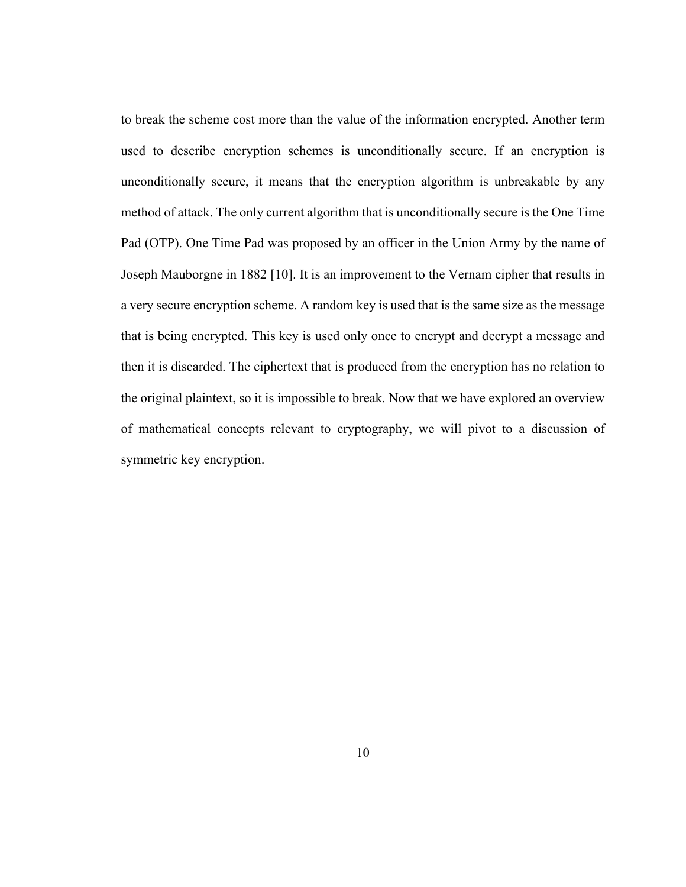to break the scheme cost more than the value of the information encrypted. Another term used to describe encryption schemes is unconditionally secure. If an encryption is unconditionally secure, it means that the encryption algorithm is unbreakable by any method of attack. The only current algorithm that is unconditionally secure is the One Time Pad (OTP). One Time Pad was proposed by an officer in the Union Army by the name of Joseph Mauborgne in 1882 [10]. It is an improvement to the Vernam cipher that results in a very secure encryption scheme. A random key is used that is the same size as the message that is being encrypted. This key is used only once to encrypt and decrypt a message and then it is discarded. The ciphertext that is produced from the encryption has no relation to the original plaintext, so it is impossible to break. Now that we have explored an overview of mathematical concepts relevant to cryptography, we will pivot to a discussion of symmetric key encryption.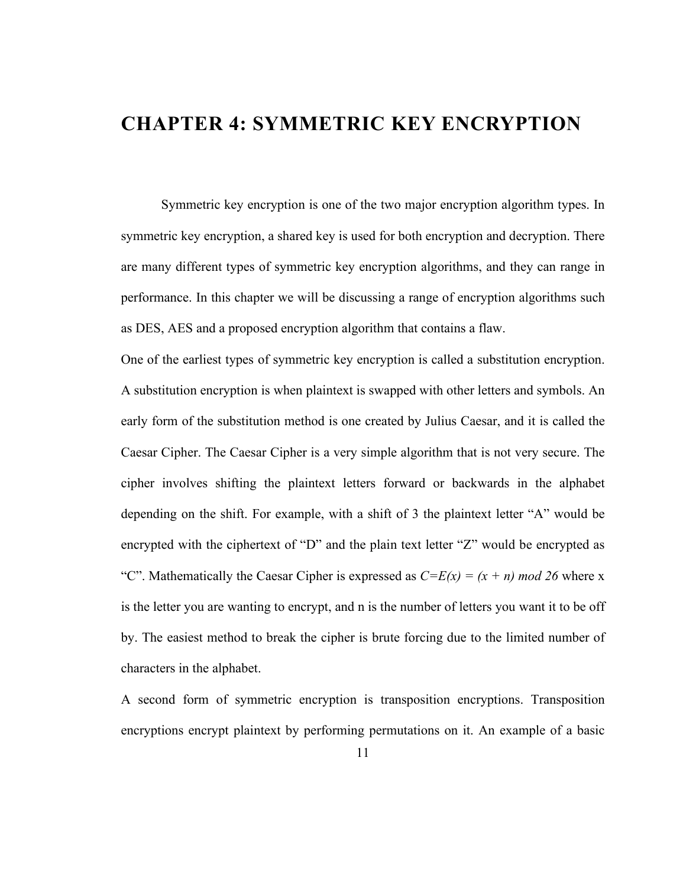## <span id="page-19-0"></span>**CHAPTER 4: SYMMETRIC KEY ENCRYPTION**

Symmetric key encryption is one of the two major encryption algorithm types. In symmetric key encryption, a shared key is used for both encryption and decryption. There are many different types of symmetric key encryption algorithms, and they can range in performance. In this chapter we will be discussing a range of encryption algorithms such as DES, AES and a proposed encryption algorithm that contains a flaw.

One of the earliest types of symmetric key encryption is called a substitution encryption. A substitution encryption is when plaintext is swapped with other letters and symbols. An early form of the substitution method is one created by Julius Caesar, and it is called the Caesar Cipher. The Caesar Cipher is a very simple algorithm that is not very secure. The cipher involves shifting the plaintext letters forward or backwards in the alphabet depending on the shift. For example, with a shift of 3 the plaintext letter "A" would be encrypted with the ciphertext of "D" and the plain text letter "Z" would be encrypted as "C". Mathematically the Caesar Cipher is expressed as  $C=E(x) = (x + n) \mod 26$  where x is the letter you are wanting to encrypt, and n is the number of letters you want it to be off by. The easiest method to break the cipher is brute forcing due to the limited number of characters in the alphabet.

A second form of symmetric encryption is transposition encryptions. Transposition encryptions encrypt plaintext by performing permutations on it. An example of a basic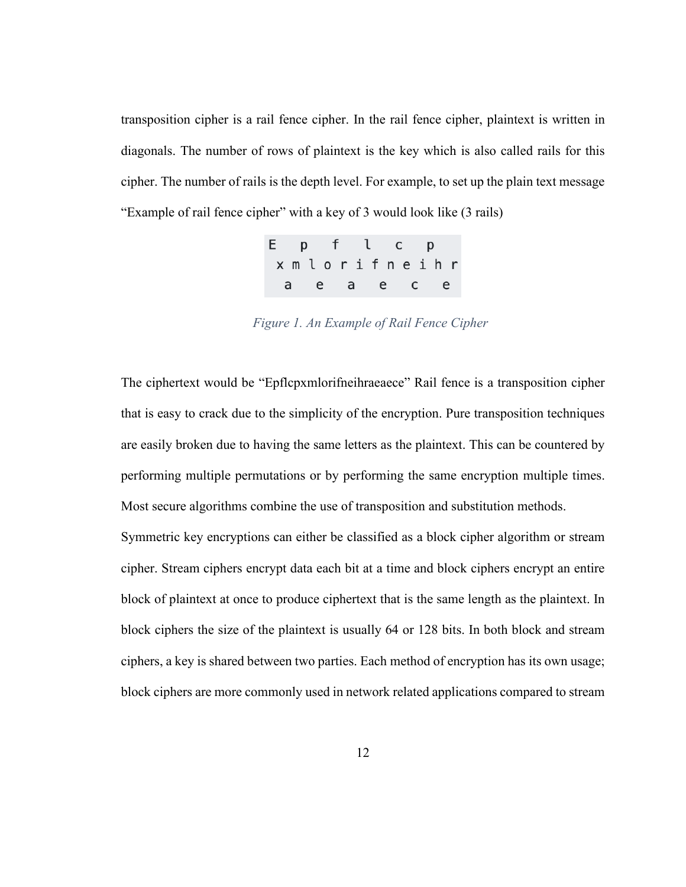transposition cipher is a rail fence cipher. In the rail fence cipher, plaintext is written in diagonals. The number of rows of plaintext is the key which is also called rails for this cipher. The number of rails is the depth level. For example, to set up the plain text message "Example of rail fence cipher" with a key of 3 would look like (3 rails)

| Epflcp |              |  |  |  |  |  |
|--------|--------------|--|--|--|--|--|
|        | xmlorifneihr |  |  |  |  |  |
|        | a e a e c e  |  |  |  |  |  |

*Figure 1. An Example of Rail Fence Cipher*

The ciphertext would be "Epflcpxmlorifneihraeaece" Rail fence is a transposition cipher that is easy to crack due to the simplicity of the encryption. Pure transposition techniques are easily broken due to having the same letters as the plaintext. This can be countered by performing multiple permutations or by performing the same encryption multiple times. Most secure algorithms combine the use of transposition and substitution methods.

Symmetric key encryptions can either be classified as a block cipher algorithm or stream cipher. Stream ciphers encrypt data each bit at a time and block ciphers encrypt an entire block of plaintext at once to produce ciphertext that is the same length as the plaintext. In block ciphers the size of the plaintext is usually 64 or 128 bits. In both block and stream ciphers, a key is shared between two parties. Each method of encryption has its own usage; block ciphers are more commonly used in network related applications compared to stream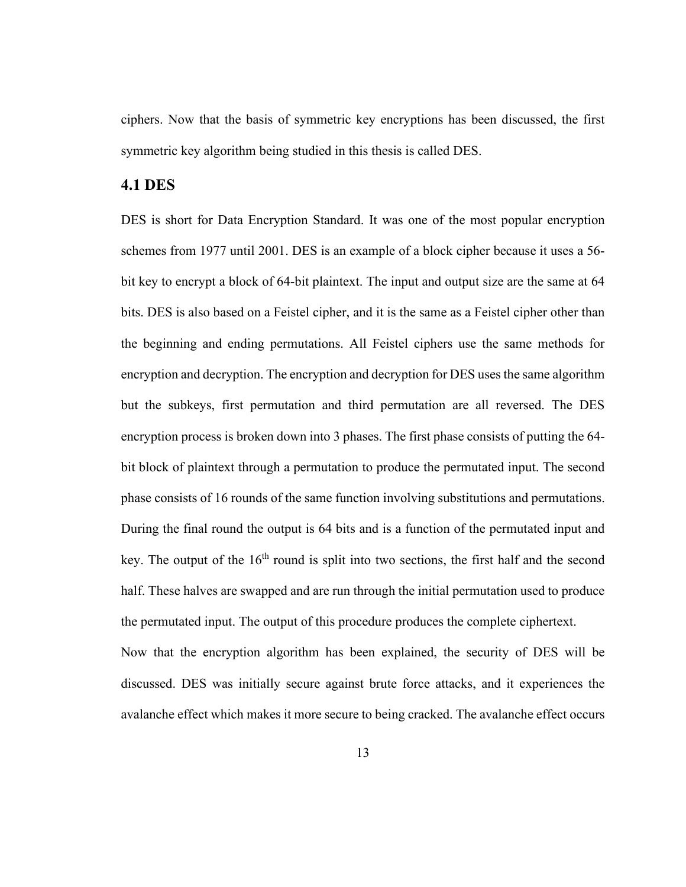ciphers. Now that the basis of symmetric key encryptions has been discussed, the first symmetric key algorithm being studied in this thesis is called DES.

#### <span id="page-21-0"></span>**4.1 DES**

DES is short for Data Encryption Standard. It was one of the most popular encryption schemes from 1977 until 2001. DES is an example of a block cipher because it uses a 56 bit key to encrypt a block of 64-bit plaintext. The input and output size are the same at 64 bits. DES is also based on a Feistel cipher, and it is the same as a Feistel cipher other than the beginning and ending permutations. All Feistel ciphers use the same methods for encryption and decryption. The encryption and decryption for DES uses the same algorithm but the subkeys, first permutation and third permutation are all reversed. The DES encryption process is broken down into 3 phases. The first phase consists of putting the 64 bit block of plaintext through a permutation to produce the permutated input. The second phase consists of 16 rounds of the same function involving substitutions and permutations. During the final round the output is 64 bits and is a function of the permutated input and key. The output of the  $16<sup>th</sup>$  round is split into two sections, the first half and the second half. These halves are swapped and are run through the initial permutation used to produce the permutated input. The output of this procedure produces the complete ciphertext.

Now that the encryption algorithm has been explained, the security of DES will be discussed. DES was initially secure against brute force attacks, and it experiences the avalanche effect which makes it more secure to being cracked. The avalanche effect occurs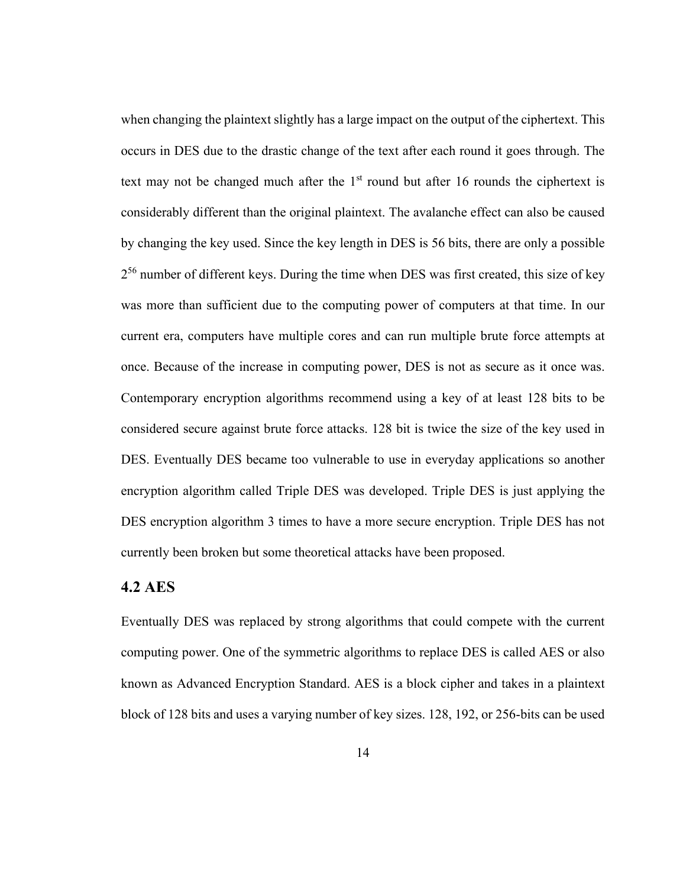when changing the plaintext slightly has a large impact on the output of the ciphertext. This occurs in DES due to the drastic change of the text after each round it goes through. The text may not be changed much after the  $1<sup>st</sup>$  round but after 16 rounds the ciphertext is considerably different than the original plaintext. The avalanche effect can also be caused by changing the key used. Since the key length in DES is 56 bits, there are only a possible  $2^{56}$  number of different keys. During the time when DES was first created, this size of key was more than sufficient due to the computing power of computers at that time. In our current era, computers have multiple cores and can run multiple brute force attempts at once. Because of the increase in computing power, DES is not as secure as it once was. Contemporary encryption algorithms recommend using a key of at least 128 bits to be considered secure against brute force attacks. 128 bit is twice the size of the key used in DES. Eventually DES became too vulnerable to use in everyday applications so another encryption algorithm called Triple DES was developed. Triple DES is just applying the DES encryption algorithm 3 times to have a more secure encryption. Triple DES has not currently been broken but some theoretical attacks have been proposed.

#### <span id="page-22-0"></span>**4.2 AES**

Eventually DES was replaced by strong algorithms that could compete with the current computing power. One of the symmetric algorithms to replace DES is called AES or also known as Advanced Encryption Standard. AES is a block cipher and takes in a plaintext block of 128 bits and uses a varying number of key sizes. 128, 192, or 256-bits can be used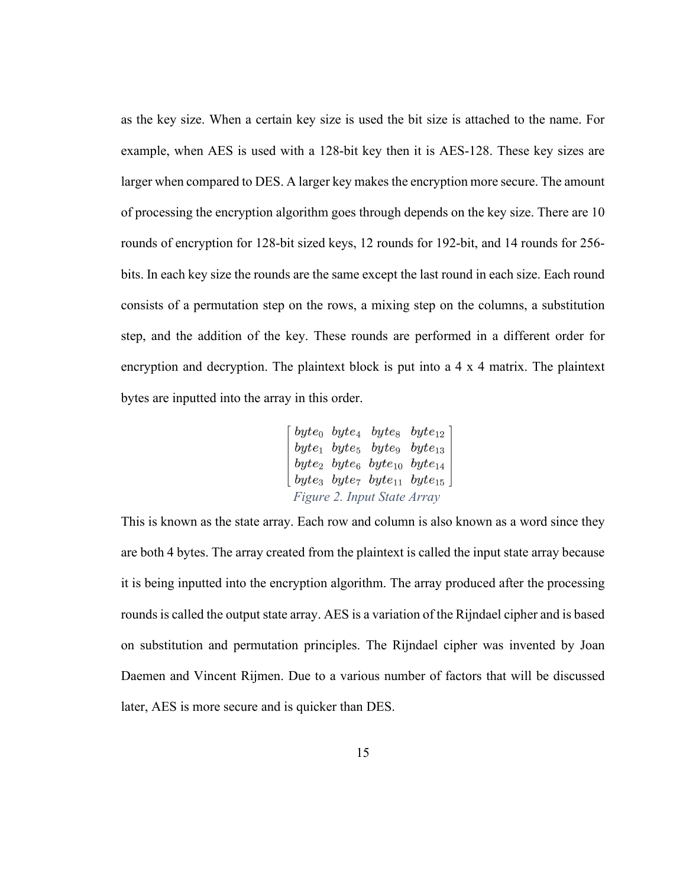as the key size. When a certain key size is used the bit size is attached to the name. For example, when AES is used with a 128-bit key then it is AES-128. These key sizes are larger when compared to DES. A larger key makes the encryption more secure. The amount of processing the encryption algorithm goes through depends on the key size. There are 10 rounds of encryption for 128-bit sized keys, 12 rounds for 192-bit, and 14 rounds for 256 bits. In each key size the rounds are the same except the last round in each size. Each round consists of a permutation step on the rows, a mixing step on the columns, a substitution step, and the addition of the key. These rounds are performed in a different order for encryption and decryption. The plaintext block is put into a 4 x 4 matrix. The plaintext bytes are inputted into the array in this order.

$$
\begin{bmatrix} byte_0 \ byte_4 \ byte_8 \ byte_{12} \\ byte_1 \ byte_5 \ byte_9 \ byte_{13} \\ byte_2 \ byte_6 \ byte_{10} \ byte_{14} \\ byte_3 \ byte_7 \ byte_{11} \ byte_{15} \end{bmatrix}
$$
  
Figure 2. Input State Array

This is known as the state array. Each row and column is also known as a word since they are both 4 bytes. The array created from the plaintext is called the input state array because it is being inputted into the encryption algorithm. The array produced after the processing rounds is called the output state array. AES is a variation of the Rijndael cipher and is based on substitution and permutation principles. The Rijndael cipher was invented by Joan Daemen and Vincent Rijmen. Due to a various number of factors that will be discussed later, AES is more secure and is quicker than DES.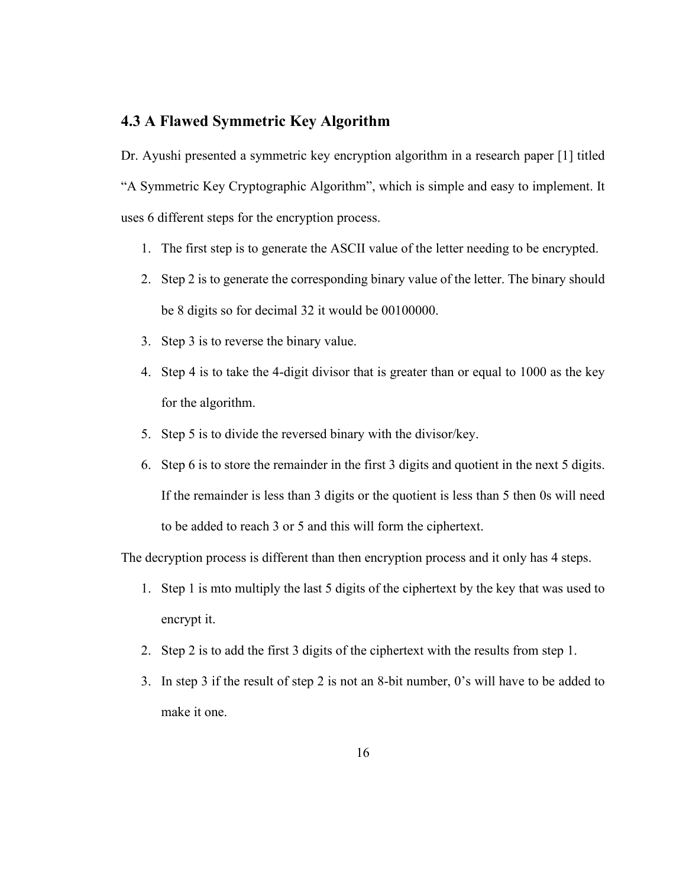#### <span id="page-24-0"></span>**4.3 A Flawed Symmetric Key Algorithm**

Dr. Ayushi presented a symmetric key encryption algorithm in a research paper [1] titled "A Symmetric Key Cryptographic Algorithm", which is simple and easy to implement. It uses 6 different steps for the encryption process.

- 1. The first step is to generate the ASCII value of the letter needing to be encrypted.
- 2. Step 2 is to generate the corresponding binary value of the letter. The binary should be 8 digits so for decimal 32 it would be 00100000.
- 3. Step 3 is to reverse the binary value.
- 4. Step 4 is to take the 4-digit divisor that is greater than or equal to 1000 as the key for the algorithm.
- 5. Step 5 is to divide the reversed binary with the divisor/key.
- 6. Step 6 is to store the remainder in the first 3 digits and quotient in the next 5 digits. If the remainder is less than 3 digits or the quotient is less than 5 then 0s will need to be added to reach 3 or 5 and this will form the ciphertext.

The decryption process is different than then encryption process and it only has 4 steps.

- 1. Step 1 is mto multiply the last 5 digits of the ciphertext by the key that was used to encrypt it.
- 2. Step 2 is to add the first 3 digits of the ciphertext with the results from step 1.
- 3. In step 3 if the result of step 2 is not an 8-bit number, 0's will have to be added to make it one.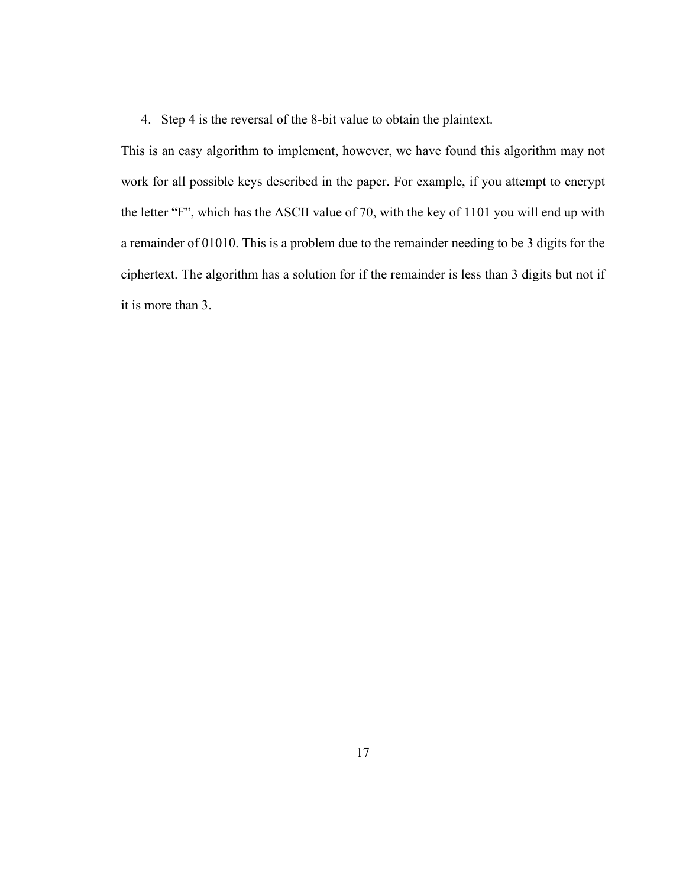4. Step 4 is the reversal of the 8-bit value to obtain the plaintext.

This is an easy algorithm to implement, however, we have found this algorithm may not work for all possible keys described in the paper. For example, if you attempt to encrypt the letter "F", which has the ASCII value of 70, with the key of 1101 you will end up with a remainder of 01010. This is a problem due to the remainder needing to be 3 digits for the ciphertext. The algorithm has a solution for if the remainder is less than 3 digits but not if it is more than 3.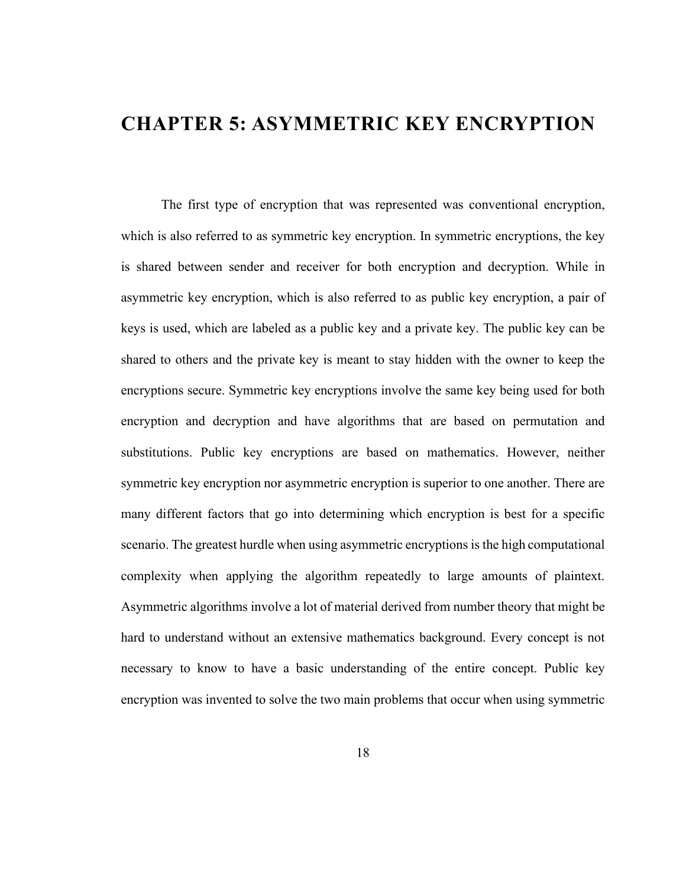## <span id="page-26-0"></span>**CHAPTER 5: ASYMMETRIC KEY ENCRYPTION**

The first type of encryption that was represented was conventional encryption, which is also referred to as symmetric key encryption. In symmetric encryptions, the key is shared between sender and receiver for both encryption and decryption. While in asymmetric key encryption, which is also referred to as public key encryption, a pair of keys is used, which are labeled as a public key and a private key. The public key can be shared to others and the private key is meant to stay hidden with the owner to keep the encryptions secure. Symmetric key encryptions involve the same key being used for both encryption and decryption and have algorithms that are based on permutation and substitutions. Public key encryptions are based on mathematics. However, neither symmetric key encryption nor asymmetric encryption is superior to one another. There are many different factors that go into determining which encryption is best for a specific scenario. The greatest hurdle when using asymmetric encryptions is the high computational complexity when applying the algorithm repeatedly to large amounts of plaintext. Asymmetric algorithms involve a lot of material derived from number theory that might be hard to understand without an extensive mathematics background. Every concept is not necessary to know to have a basic understanding of the entire concept. Public key encryption was invented to solve the two main problems that occur when using symmetric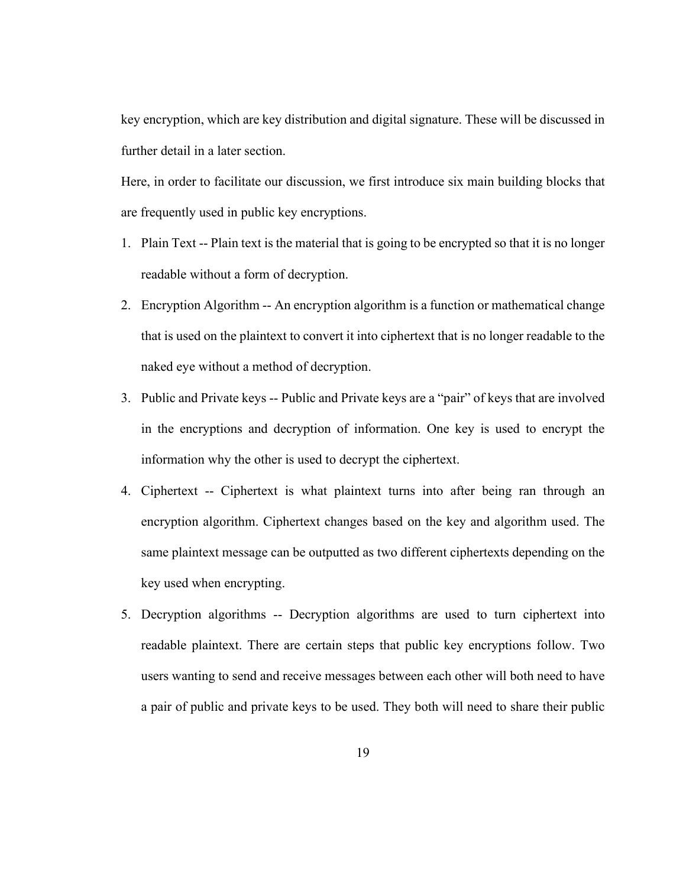key encryption, which are key distribution and digital signature. These will be discussed in further detail in a later section.

Here, in order to facilitate our discussion, we first introduce six main building blocks that are frequently used in public key encryptions.

- 1. Plain Text -- Plain text is the material that is going to be encrypted so that it is no longer readable without a form of decryption.
- 2. Encryption Algorithm -- An encryption algorithm is a function or mathematical change that is used on the plaintext to convert it into ciphertext that is no longer readable to the naked eye without a method of decryption.
- 3. Public and Private keys -- Public and Private keys are a "pair" of keys that are involved in the encryptions and decryption of information. One key is used to encrypt the information why the other is used to decrypt the ciphertext.
- 4. Ciphertext -- Ciphertext is what plaintext turns into after being ran through an encryption algorithm. Ciphertext changes based on the key and algorithm used. The same plaintext message can be outputted as two different ciphertexts depending on the key used when encrypting.
- 5. Decryption algorithms -- Decryption algorithms are used to turn ciphertext into readable plaintext. There are certain steps that public key encryptions follow. Two users wanting to send and receive messages between each other will both need to have a pair of public and private keys to be used. They both will need to share their public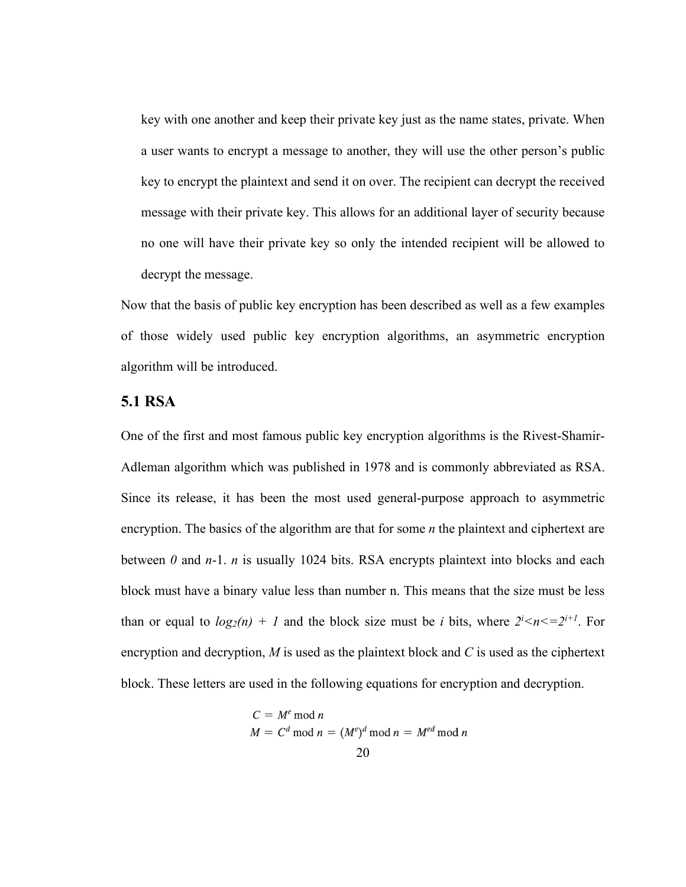key with one another and keep their private key just as the name states, private. When a user wants to encrypt a message to another, they will use the other person's public key to encrypt the plaintext and send it on over. The recipient can decrypt the received message with their private key. This allows for an additional layer of security because no one will have their private key so only the intended recipient will be allowed to decrypt the message.

Now that the basis of public key encryption has been described as well as a few examples of those widely used public key encryption algorithms, an asymmetric encryption algorithm will be introduced.

#### <span id="page-28-0"></span>**5.1 RSA**

One of the first and most famous public key encryption algorithms is the Rivest-Shamir-Adleman algorithm which was published in 1978 and is commonly abbreviated as RSA. Since its release, it has been the most used general-purpose approach to asymmetric encryption. The basics of the algorithm are that for some *n* the plaintext and ciphertext are between *0* and *n*-1. *n* is usually 1024 bits. RSA encrypts plaintext into blocks and each block must have a binary value less than number n. This means that the size must be less than or equal to  $log_2(n) + 1$  and the block size must be *i* bits, where  $2^{i} < n < 2^{i+1}$ . For encryption and decryption, *M* is used as the plaintext block and *C* is used as the ciphertext block. These letters are used in the following equations for encryption and decryption.

$$
C = Me \bmod n
$$
  

$$
M = Cd \bmod n = (Me)d \bmod n = Med \bmod n
$$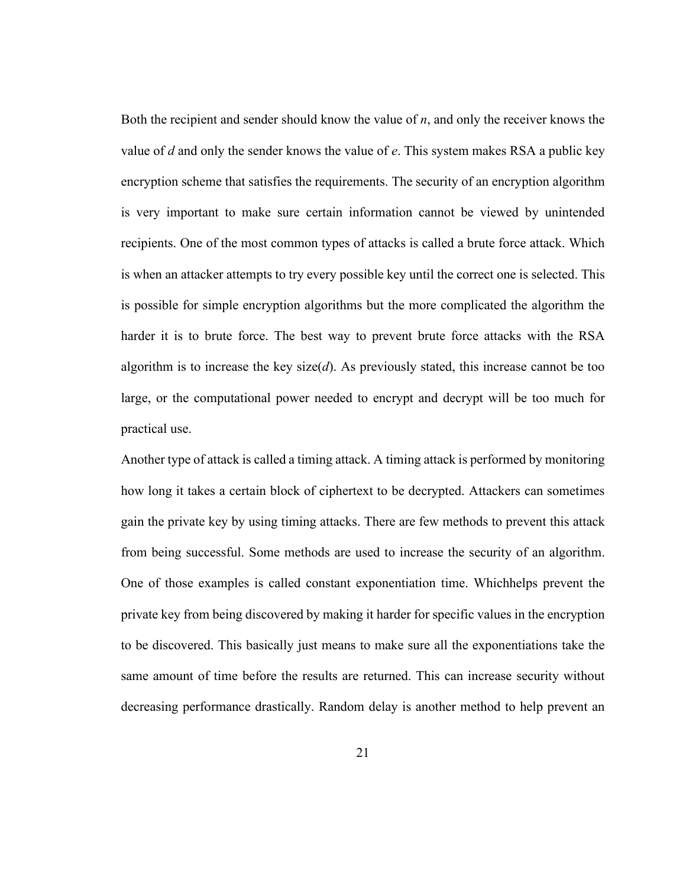Both the recipient and sender should know the value of *n*, and only the receiver knows the value of *d* and only the sender knows the value of *e*. This system makes RSA a public key encryption scheme that satisfies the requirements. The security of an encryption algorithm is very important to make sure certain information cannot be viewed by unintended recipients. One of the most common types of attacks is called a brute force attack. Which is when an attacker attempts to try every possible key until the correct one is selected. This is possible for simple encryption algorithms but the more complicated the algorithm the harder it is to brute force. The best way to prevent brute force attacks with the RSA algorithm is to increase the key size(*d*). As previously stated, this increase cannot be too large, or the computational power needed to encrypt and decrypt will be too much for practical use.

Another type of attack is called a timing attack. A timing attack is performed by monitoring how long it takes a certain block of ciphertext to be decrypted. Attackers can sometimes gain the private key by using timing attacks. There are few methods to prevent this attack from being successful. Some methods are used to increase the security of an algorithm. One of those examples is called constant exponentiation time. Whichhelps prevent the private key from being discovered by making it harder for specific values in the encryption to be discovered. This basically just means to make sure all the exponentiations take the same amount of time before the results are returned. This can increase security without decreasing performance drastically. Random delay is another method to help prevent an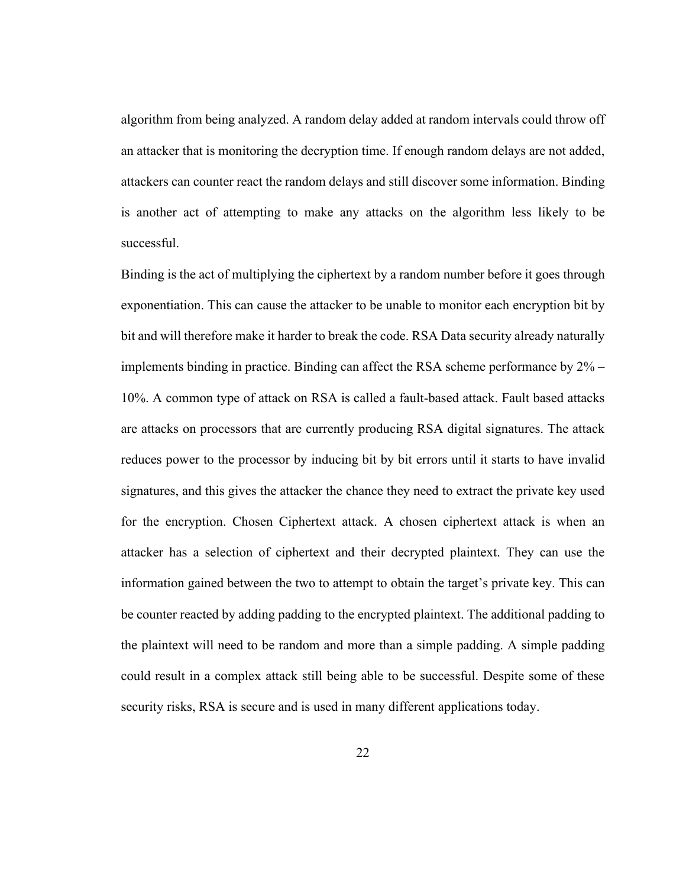algorithm from being analyzed. A random delay added at random intervals could throw off an attacker that is monitoring the decryption time. If enough random delays are not added, attackers can counter react the random delays and still discover some information. Binding is another act of attempting to make any attacks on the algorithm less likely to be successful.

Binding is the act of multiplying the ciphertext by a random number before it goes through exponentiation. This can cause the attacker to be unable to monitor each encryption bit by bit and will therefore make it harder to break the code. RSA Data security already naturally implements binding in practice. Binding can affect the RSA scheme performance by 2% – 10%. A common type of attack on RSA is called a fault-based attack. Fault based attacks are attacks on processors that are currently producing RSA digital signatures. The attack reduces power to the processor by inducing bit by bit errors until it starts to have invalid signatures, and this gives the attacker the chance they need to extract the private key used for the encryption. Chosen Ciphertext attack. A chosen ciphertext attack is when an attacker has a selection of ciphertext and their decrypted plaintext. They can use the information gained between the two to attempt to obtain the target's private key. This can be counter reacted by adding padding to the encrypted plaintext. The additional padding to the plaintext will need to be random and more than a simple padding. A simple padding could result in a complex attack still being able to be successful. Despite some of these security risks, RSA is secure and is used in many different applications today.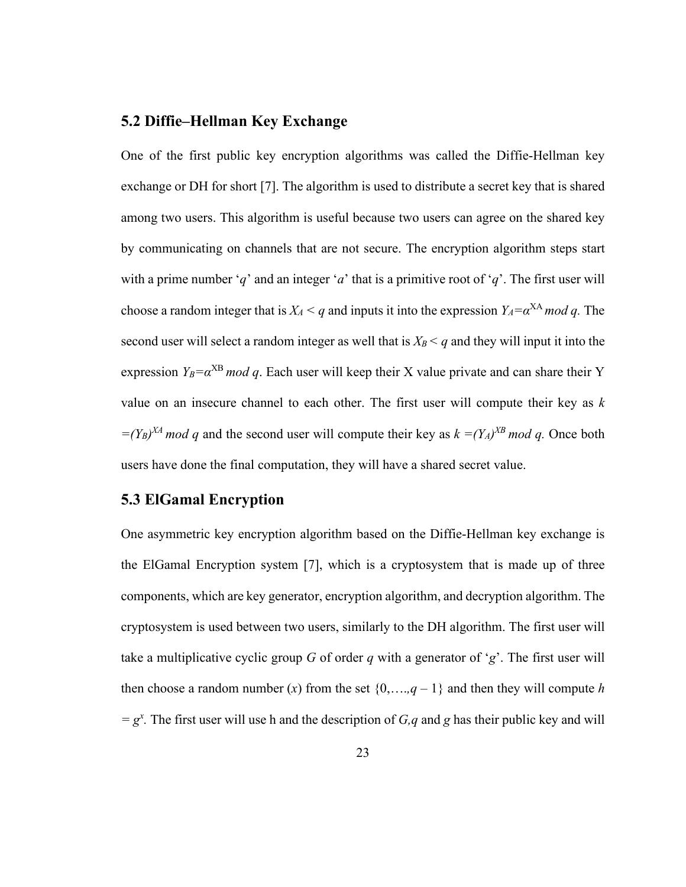#### <span id="page-31-0"></span>**5.2 Diffie–Hellman Key Exchange**

One of the first public key encryption algorithms was called the Diffie-Hellman key exchange or DH for short [7]. The algorithm is used to distribute a secret key that is shared among two users. This algorithm is useful because two users can agree on the shared key by communicating on channels that are not secure. The encryption algorithm steps start with a prime number '*q*' and an integer '*a*' that is a primitive root of '*q*'. The first user will choose a random integer that is  $X_A < q$  and inputs it into the expression  $Y_A = \alpha^{XA} \mod q$ . The second user will select a random integer as well that is  $X_B < q$  and they will input it into the expression  $Y_B = \alpha^{XB} \mod q$ . Each user will keep their X value private and can share their Y value on an insecure channel to each other. The first user will compute their key as *k*   $=(Y_B)^{XA} \mod q$  and the second user will compute their key as  $k = (Y_A)^{XB} \mod q$ . Once both users have done the final computation, they will have a shared secret value.

#### <span id="page-31-1"></span>**5.3 ElGamal Encryption**

One asymmetric key encryption algorithm based on the Diffie-Hellman key exchange is the ElGamal Encryption system [7], which is a cryptosystem that is made up of three components, which are key generator, encryption algorithm, and decryption algorithm. The cryptosystem is used between two users, similarly to the DH algorithm. The first user will take a multiplicative cyclic group *G* of order *q* with a generator of '*g*'. The first user will then choose a random number  $(x)$  from the set  $\{0, \ldots, q-1\}$  and then they will compute *h*  $= g^x$ . The first user will use h and the description of *G*,*q* and *g* has their public key and will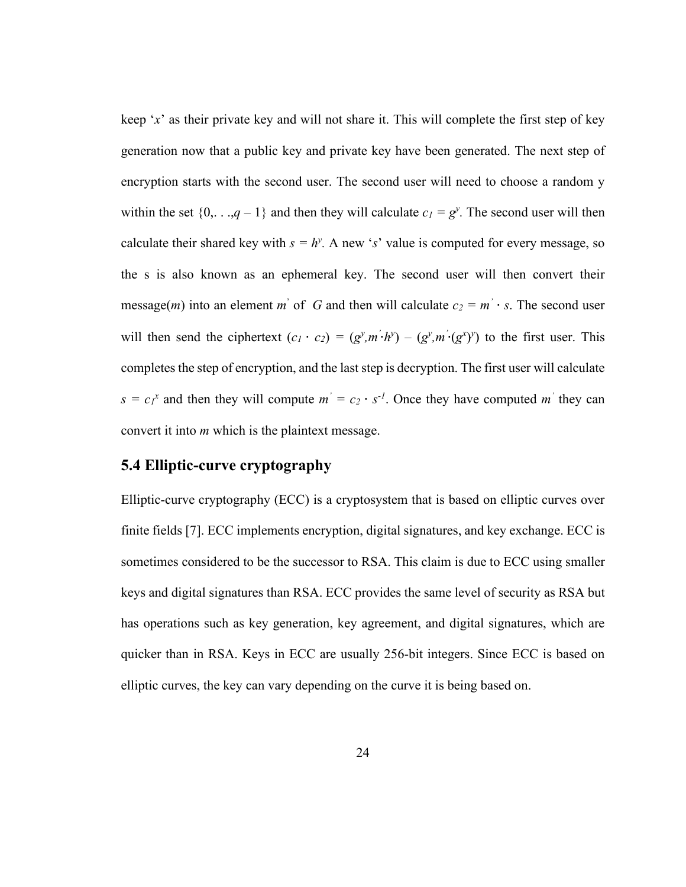keep '*x*' as their private key and will not share it. This will complete the first step of key generation now that a public key and private key have been generated. The next step of encryption starts with the second user. The second user will need to choose a random y within the set  $\{0, \ldots, q-1\}$  and then they will calculate  $c_1 = g^y$ . The second user will then calculate their shared key with  $s = h^y$ . A new 's' value is computed for every message, so the s is also known as an ephemeral key. The second user will then convert their message(*m*) into an element *m*<sup>'</sup> of *G* and then will calculate  $c_2 = m$ <sup>'</sup>  $\cdot$  *s*. The second user will then send the ciphertext  $(c_1 \cdot c_2) = (g^y, m^2 \cdot h^y) - (g^y, m^2 \cdot (g^x)^y)$  to the first user. This completes the step of encryption, and the last step is decryption. The first user will calculate  $s = c_1^x$  and then they will compute  $m' = c_2 \cdot s^{-1}$ . Once they have computed *m'* they can convert it into *m* which is the plaintext message.

#### <span id="page-32-0"></span>**5.4 Elliptic-curve cryptography**

Elliptic-curve cryptography (ECC) is a cryptosystem that is based on elliptic curves over finite fields [7]. ECC implements encryption, digital signatures, and key exchange. ECC is sometimes considered to be the successor to RSA. This claim is due to ECC using smaller keys and digital signatures than RSA. ECC provides the same level of security as RSA but has operations such as key generation, key agreement, and digital signatures, which are quicker than in RSA. Keys in ECC are usually 256-bit integers. Since ECC is based on elliptic curves, the key can vary depending on the curve it is being based on.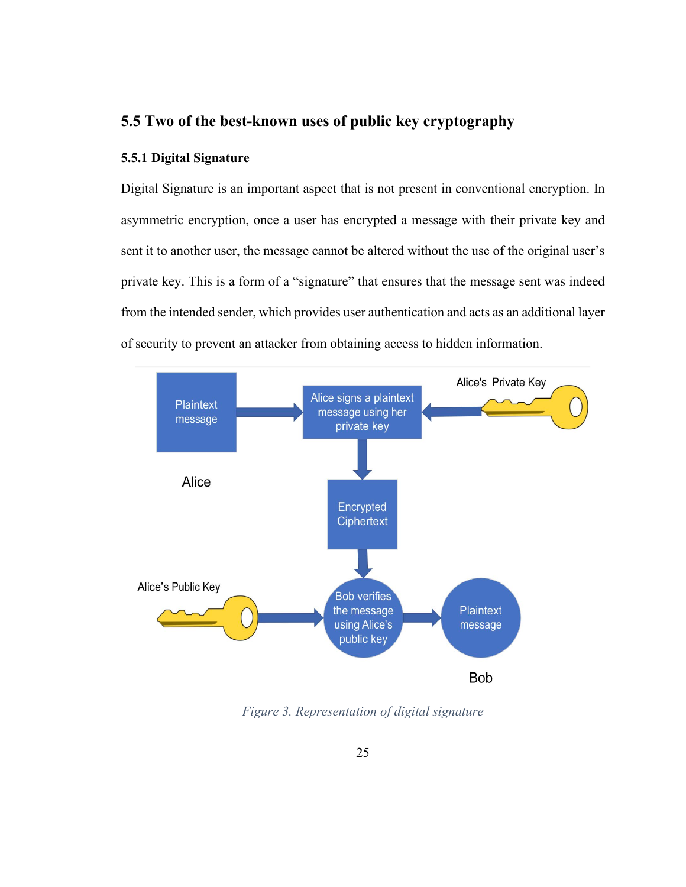#### <span id="page-33-0"></span>**5.5 Two of the best-known uses of public key cryptography**

#### <span id="page-33-1"></span>**5.5.1 Digital Signature**

Digital Signature is an important aspect that is not present in conventional encryption. In asymmetric encryption, once a user has encrypted a message with their private key and sent it to another user, the message cannot be altered without the use of the original user's private key. This is a form of a "signature" that ensures that the message sent was indeed from the intended sender, which provides user authentication and acts as an additional layer of security to prevent an attacker from obtaining access to hidden information.



<span id="page-33-2"></span>*Figure 3. Representation of digital signature*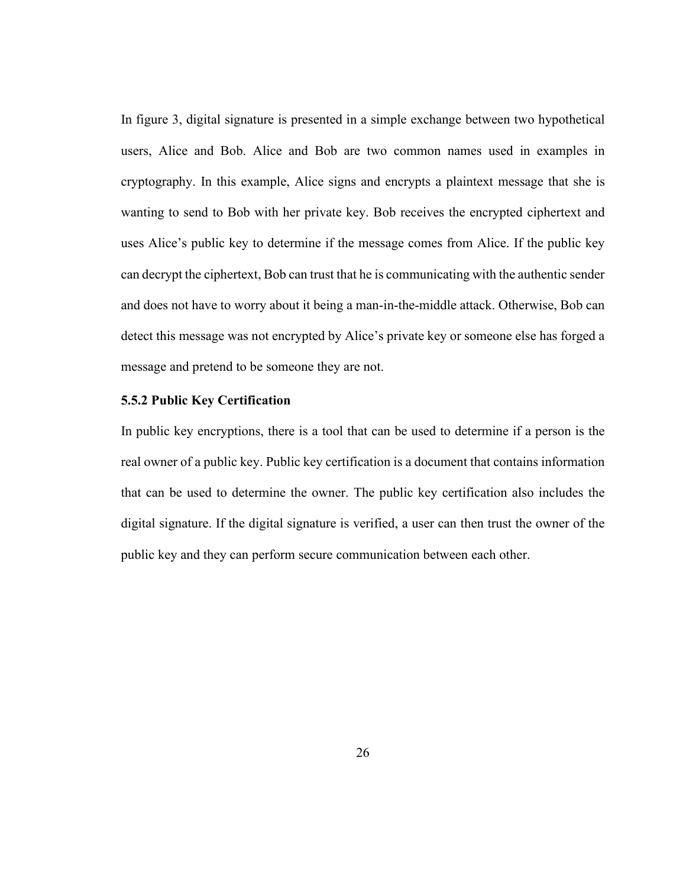In figure 3, digital signature is presented in a simple exchange between two hypothetical users, Alice and Bob. Alice and Bob are two common names used in examples in cryptography. In this example, Alice signs and encrypts a plaintext message that she is wanting to send to Bob with her private key. Bob receives the encrypted ciphertext and uses Alice's public key to determine if the message comes from Alice. If the public key can decrypt the ciphertext, Bob can trust that he is communicating with the authentic sender and does not have to worry about it being a man-in-the-middle attack. Otherwise, Bob can detect this message was not encrypted by Alice's private key or someone else has forged a message and pretend to be someone they are not.

#### <span id="page-34-0"></span>**5.5.2 Public Key Certification**

In public key encryptions, there is a tool that can be used to determine if a person is the real owner of a public key. Public key certification is a document that contains information that can be used to determine the owner. The public key certification also includes the digital signature. If the digital signature is verified, a user can then trust the owner of the public key and they can perform secure communication between each other.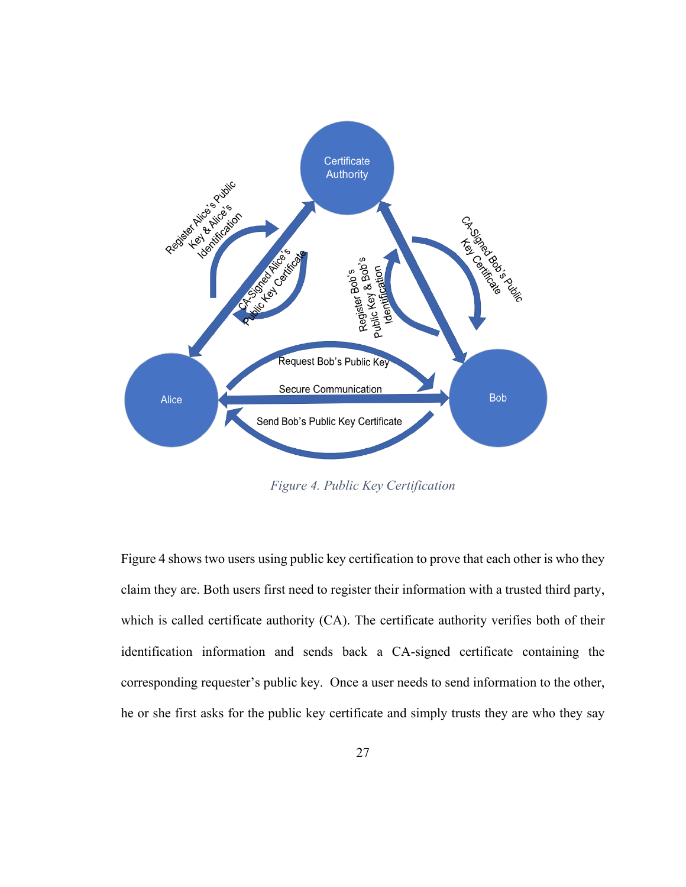

*Figure 4. Public Key Certification*

<span id="page-35-0"></span>Figure 4 shows two users using public key certification to prove that each other is who they claim they are. Both users first need to register their information with a trusted third party, which is called certificate authority (CA). The certificate authority verifies both of their identification information and sends back a CA-signed certificate containing the corresponding requester's public key. Once a user needs to send information to the other, he or she first asks for the public key certificate and simply trusts they are who they say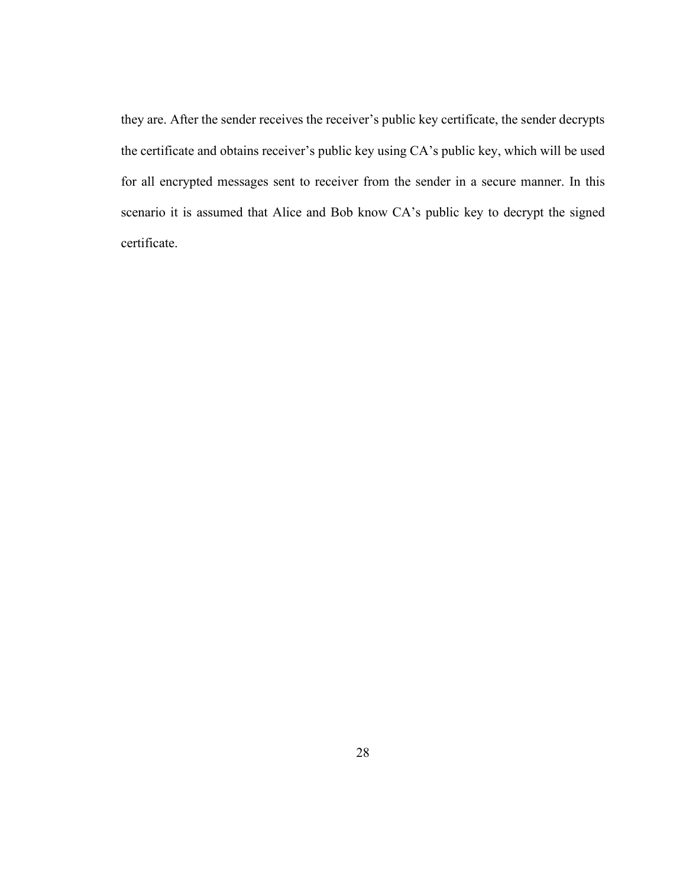they are. After the sender receives the receiver's public key certificate, the sender decrypts the certificate and obtains receiver's public key using CA's public key, which will be used for all encrypted messages sent to receiver from the sender in a secure manner. In this scenario it is assumed that Alice and Bob know CA's public key to decrypt the signed certificate.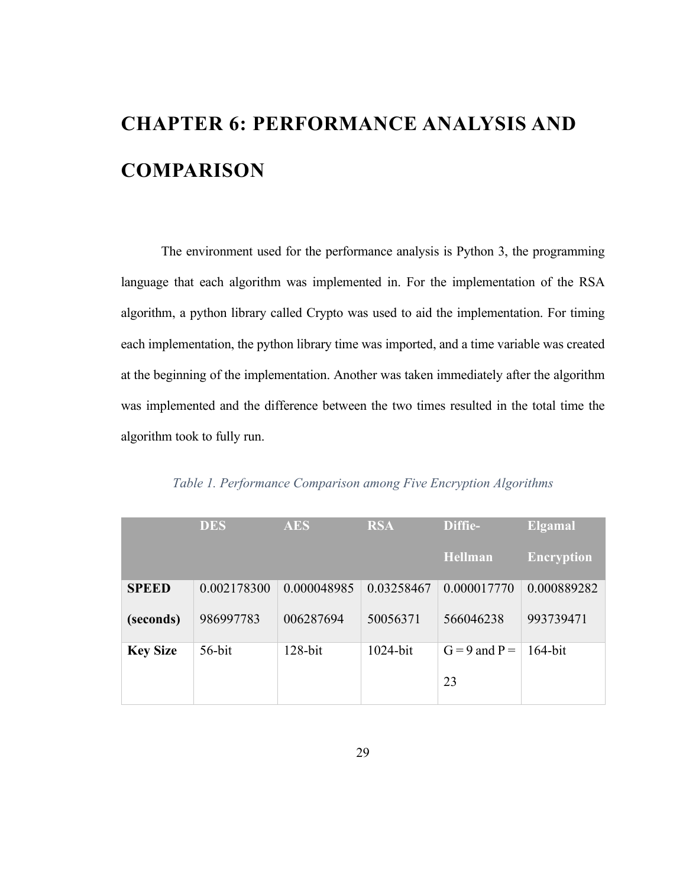# <span id="page-37-0"></span>**CHAPTER 6: PERFORMANCE ANALYSIS AND COMPARISON**

The environment used for the performance analysis is Python 3, the programming language that each algorithm was implemented in. For the implementation of the RSA algorithm, a python library called Crypto was used to aid the implementation. For timing each implementation, the python library time was imported, and a time variable was created at the beginning of the implementation. Another was taken immediately after the algorithm was implemented and the difference between the two times resulted in the total time the algorithm took to fully run.

<span id="page-37-1"></span>

|                 | <b>DES</b>  | <b>AES</b>  | <b>RSA</b>  | Diffie-           | <b>Elgamal</b>    |
|-----------------|-------------|-------------|-------------|-------------------|-------------------|
|                 |             |             |             | Hellman           | <b>Encryption</b> |
| <b>SPEED</b>    | 0.002178300 | 0.000048985 | 0.03258467  | 0.000017770       | 0.000889282       |
| (seconds)       | 986997783   | 006287694   | 50056371    | 566046238         | 993739471         |
| <b>Key Size</b> | $56$ -bit   | $128$ -bit  | $1024$ -bit | $G = 9$ and $P =$ | $164$ -bit        |
|                 |             |             |             | 23                |                   |

*Table 1. Performance Comparison among Five Encryption Algorithms*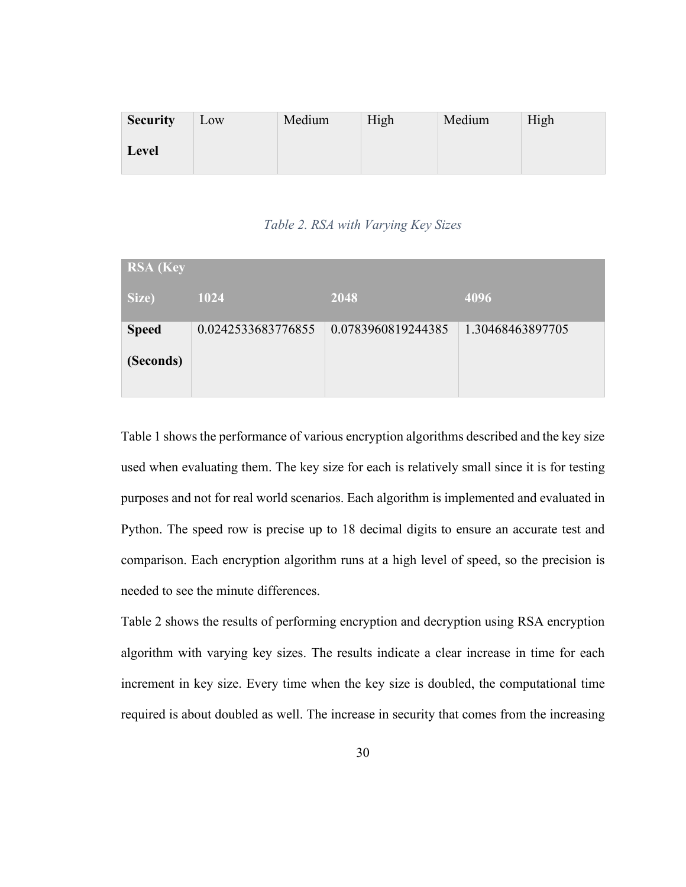| <b>Security</b> | Low | Medium | High | Medium | High |
|-----------------|-----|--------|------|--------|------|
| <b>Level</b>    |     |        |      |        |      |

#### *Table 2. RSA with Varying Key Sizes*

<span id="page-38-0"></span>

| <b>RSA</b> (Key |                    |                    |                  |
|-----------------|--------------------|--------------------|------------------|
| Size)           | 1024               | 2048               | 4096             |
| <b>Speed</b>    | 0.0242533683776855 | 0.0783960819244385 | 1.30468463897705 |
| (Seconds)       |                    |                    |                  |
|                 |                    |                    |                  |

Table 1 shows the performance of various encryption algorithms described and the key size used when evaluating them. The key size for each is relatively small since it is for testing purposes and not for real world scenarios. Each algorithm is implemented and evaluated in Python. The speed row is precise up to 18 decimal digits to ensure an accurate test and comparison. Each encryption algorithm runs at a high level of speed, so the precision is needed to see the minute differences.

Table 2 shows the results of performing encryption and decryption using RSA encryption algorithm with varying key sizes. The results indicate a clear increase in time for each increment in key size. Every time when the key size is doubled, the computational time required is about doubled as well. The increase in security that comes from the increasing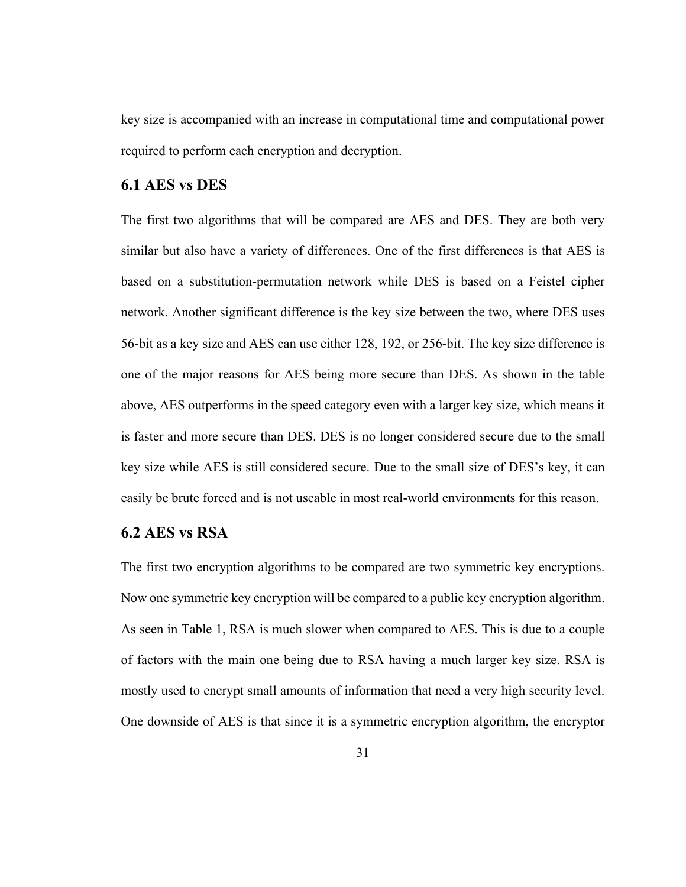key size is accompanied with an increase in computational time and computational power required to perform each encryption and decryption.

#### <span id="page-39-0"></span>**6.1 AES vs DES**

The first two algorithms that will be compared are AES and DES. They are both very similar but also have a variety of differences. One of the first differences is that AES is based on a substitution-permutation network while DES is based on a Feistel cipher network. Another significant difference is the key size between the two, where DES uses 56-bit as a key size and AES can use either 128, 192, or 256-bit. The key size difference is one of the major reasons for AES being more secure than DES. As shown in the table above, AES outperforms in the speed category even with a larger key size, which means it is faster and more secure than DES. DES is no longer considered secure due to the small key size while AES is still considered secure. Due to the small size of DES's key, it can easily be brute forced and is not useable in most real-world environments for this reason.

#### <span id="page-39-1"></span>**6.2 AES vs RSA**

The first two encryption algorithms to be compared are two symmetric key encryptions. Now one symmetric key encryption will be compared to a public key encryption algorithm. As seen in Table 1, RSA is much slower when compared to AES. This is due to a couple of factors with the main one being due to RSA having a much larger key size. RSA is mostly used to encrypt small amounts of information that need a very high security level. One downside of AES is that since it is a symmetric encryption algorithm, the encryptor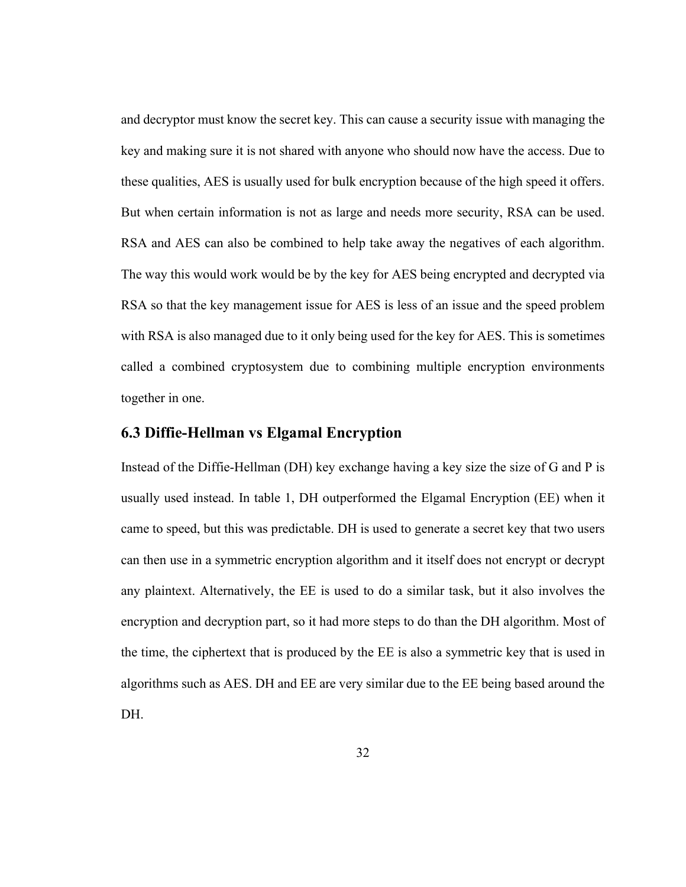and decryptor must know the secret key. This can cause a security issue with managing the key and making sure it is not shared with anyone who should now have the access. Due to these qualities, AES is usually used for bulk encryption because of the high speed it offers. But when certain information is not as large and needs more security, RSA can be used. RSA and AES can also be combined to help take away the negatives of each algorithm. The way this would work would be by the key for AES being encrypted and decrypted via RSA so that the key management issue for AES is less of an issue and the speed problem with RSA is also managed due to it only being used for the key for AES. This is sometimes called a combined cryptosystem due to combining multiple encryption environments together in one.

#### <span id="page-40-0"></span>**6.3 Diffie-Hellman vs Elgamal Encryption**

Instead of the Diffie-Hellman (DH) key exchange having a key size the size of G and P is usually used instead. In table 1, DH outperformed the Elgamal Encryption (EE) when it came to speed, but this was predictable. DH is used to generate a secret key that two users can then use in a symmetric encryption algorithm and it itself does not encrypt or decrypt any plaintext. Alternatively, the EE is used to do a similar task, but it also involves the encryption and decryption part, so it had more steps to do than the DH algorithm. Most of the time, the ciphertext that is produced by the EE is also a symmetric key that is used in algorithms such as AES. DH and EE are very similar due to the EE being based around the DH.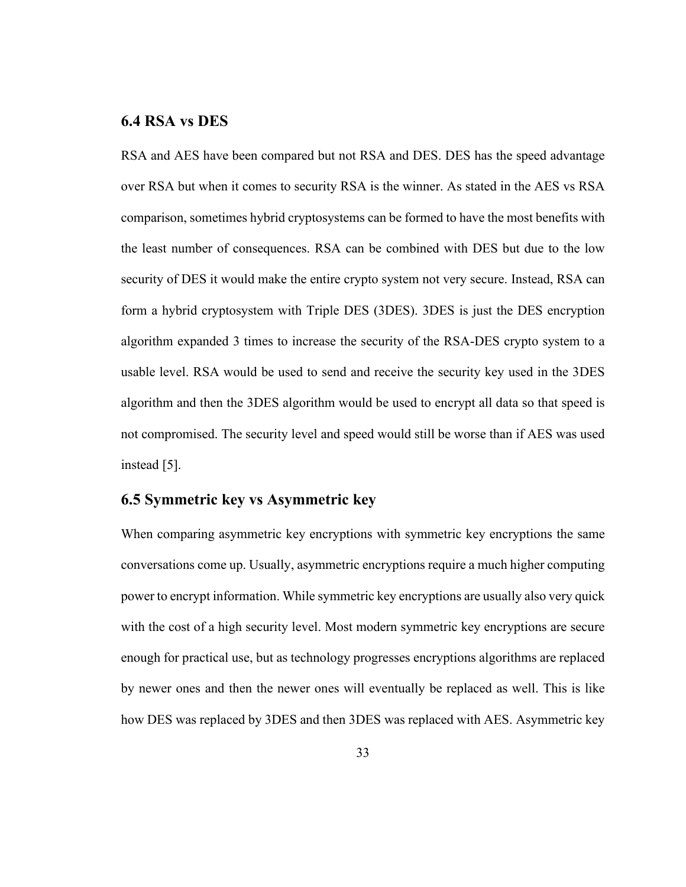#### <span id="page-41-0"></span>**6.4 RSA vs DES**

RSA and AES have been compared but not RSA and DES. DES has the speed advantage over RSA but when it comes to security RSA is the winner. As stated in the AES vs RSA comparison, sometimes hybrid cryptosystems can be formed to have the most benefits with the least number of consequences. RSA can be combined with DES but due to the low security of DES it would make the entire crypto system not very secure. Instead, RSA can form a hybrid cryptosystem with Triple DES (3DES). 3DES is just the DES encryption algorithm expanded 3 times to increase the security of the RSA-DES crypto system to a usable level. RSA would be used to send and receive the security key used in the 3DES algorithm and then the 3DES algorithm would be used to encrypt all data so that speed is not compromised. The security level and speed would still be worse than if AES was used instead [5].

#### <span id="page-41-1"></span>**6.5 Symmetric key vs Asymmetric key**

When comparing asymmetric key encryptions with symmetric key encryptions the same conversations come up. Usually, asymmetric encryptions require a much higher computing power to encrypt information. While symmetric key encryptions are usually also very quick with the cost of a high security level. Most modern symmetric key encryptions are secure enough for practical use, but as technology progresses encryptions algorithms are replaced by newer ones and then the newer ones will eventually be replaced as well. This is like how DES was replaced by 3DES and then 3DES was replaced with AES. Asymmetric key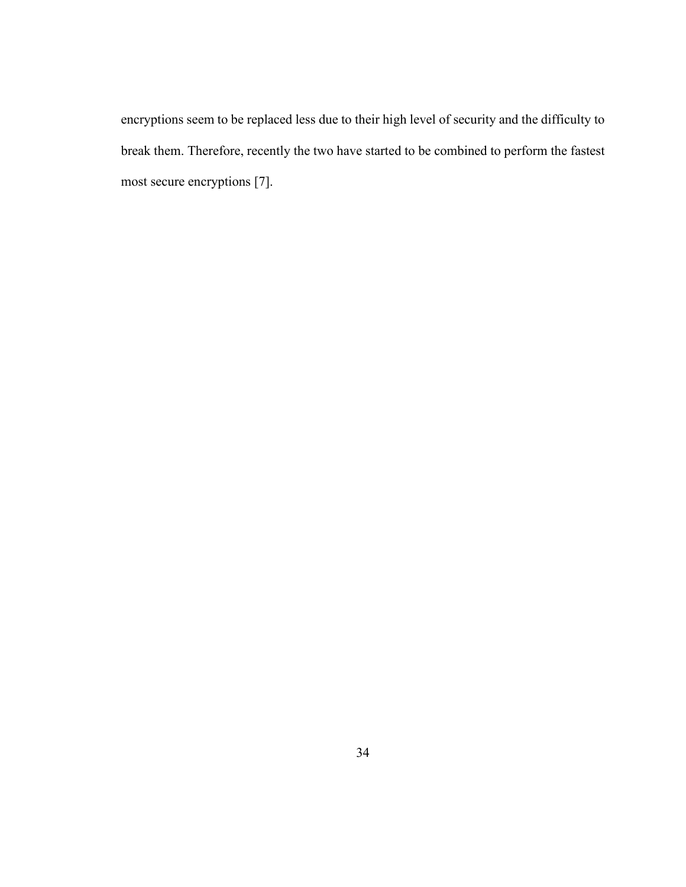encryptions seem to be replaced less due to their high level of security and the difficulty to break them. Therefore, recently the two have started to be combined to perform the fastest most secure encryptions [7].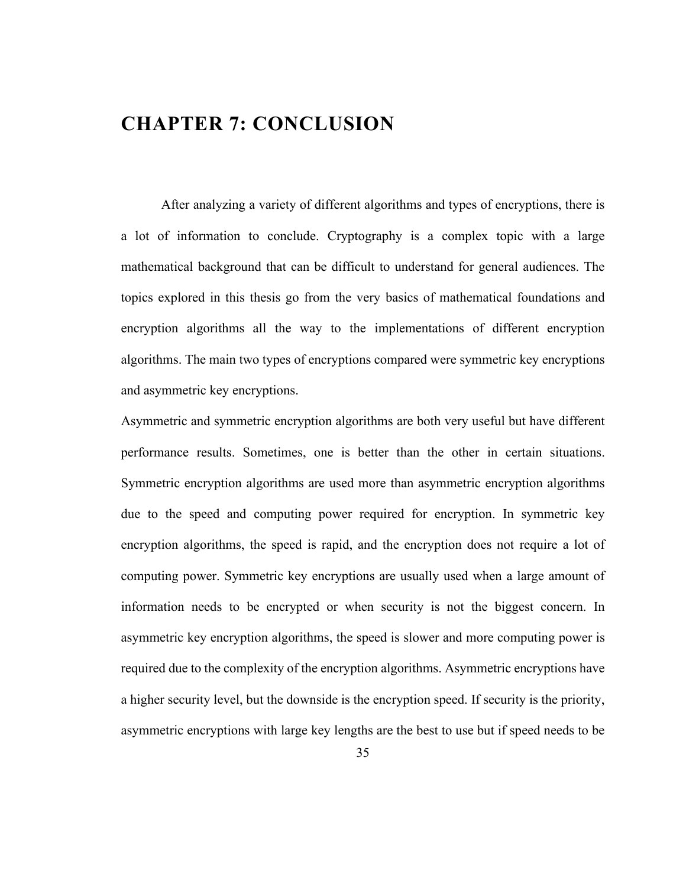## <span id="page-43-0"></span>**CHAPTER 7: CONCLUSION**

After analyzing a variety of different algorithms and types of encryptions, there is a lot of information to conclude. Cryptography is a complex topic with a large mathematical background that can be difficult to understand for general audiences. The topics explored in this thesis go from the very basics of mathematical foundations and encryption algorithms all the way to the implementations of different encryption algorithms. The main two types of encryptions compared were symmetric key encryptions and asymmetric key encryptions.

Asymmetric and symmetric encryption algorithms are both very useful but have different performance results. Sometimes, one is better than the other in certain situations. Symmetric encryption algorithms are used more than asymmetric encryption algorithms due to the speed and computing power required for encryption. In symmetric key encryption algorithms, the speed is rapid, and the encryption does not require a lot of computing power. Symmetric key encryptions are usually used when a large amount of information needs to be encrypted or when security is not the biggest concern. In asymmetric key encryption algorithms, the speed is slower and more computing power is required due to the complexity of the encryption algorithms. Asymmetric encryptions have a higher security level, but the downside is the encryption speed. If security is the priority, asymmetric encryptions with large key lengths are the best to use but if speed needs to be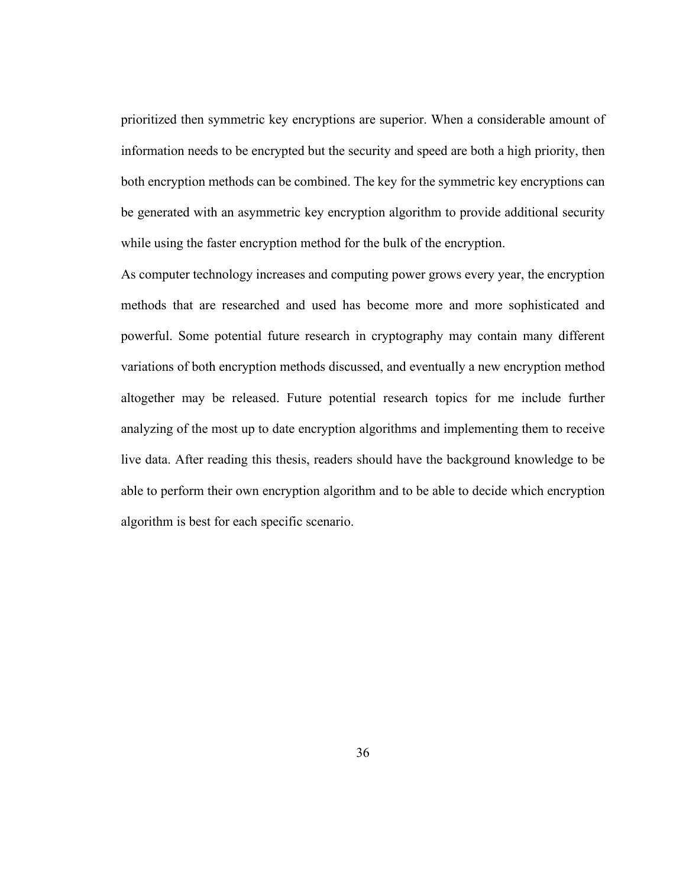prioritized then symmetric key encryptions are superior. When a considerable amount of information needs to be encrypted but the security and speed are both a high priority, then both encryption methods can be combined. The key for the symmetric key encryptions can be generated with an asymmetric key encryption algorithm to provide additional security while using the faster encryption method for the bulk of the encryption.

As computer technology increases and computing power grows every year, the encryption methods that are researched and used has become more and more sophisticated and powerful. Some potential future research in cryptography may contain many different variations of both encryption methods discussed, and eventually a new encryption method altogether may be released. Future potential research topics for me include further analyzing of the most up to date encryption algorithms and implementing them to receive live data. After reading this thesis, readers should have the background knowledge to be able to perform their own encryption algorithm and to be able to decide which encryption algorithm is best for each specific scenario.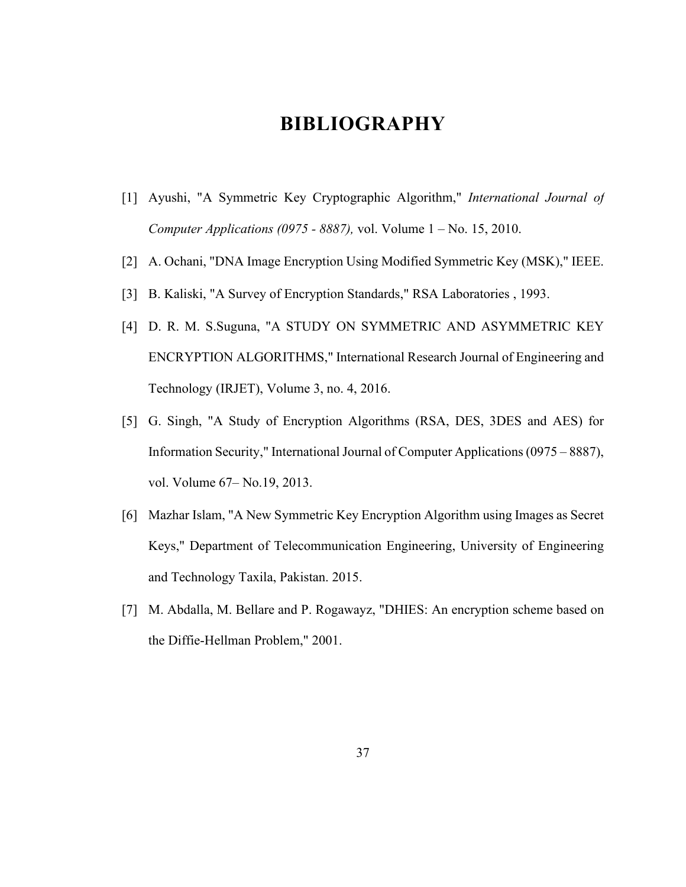## **BIBLIOGRAPHY**

- <span id="page-45-0"></span>[1] Ayushi, "A Symmetric Key Cryptographic Algorithm," *International Journal of Computer Applications (0975 - 8887),* vol. Volume 1 – No. 15, 2010.
- [2] A. Ochani, "DNA Image Encryption Using Modified Symmetric Key (MSK)," IEEE.
- [3] B. Kaliski, "A Survey of Encryption Standards," RSA Laboratories , 1993.
- [4] D. R. M. S.Suguna, "A STUDY ON SYMMETRIC AND ASYMMETRIC KEY ENCRYPTION ALGORITHMS," International Research Journal of Engineering and Technology (IRJET), Volume 3, no. 4, 2016.
- [5] G. Singh, "A Study of Encryption Algorithms (RSA, DES, 3DES and AES) for Information Security," International Journal of Computer Applications (0975 – 8887), vol. Volume 67– No.19, 2013.
- [6] Mazhar Islam, "A New Symmetric Key Encryption Algorithm using Images as Secret Keys," Department of Telecommunication Engineering, University of Engineering and Technology Taxila, Pakistan. 2015.
- [7] M. Abdalla, M. Bellare and P. Rogawayz, "DHIES: An encryption scheme based on the Diffie-Hellman Problem," 2001.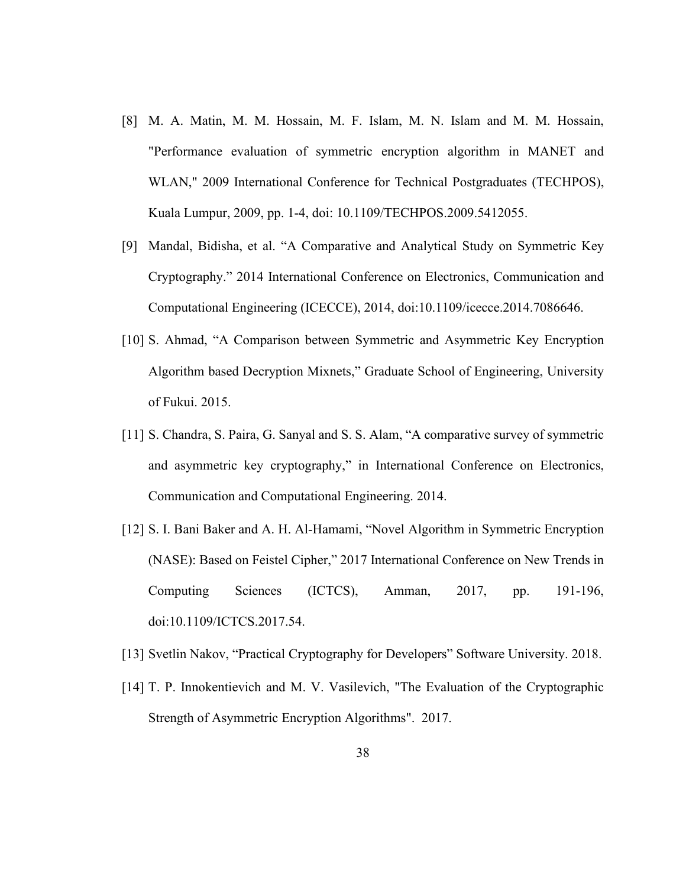- [8] M. A. Matin, M. M. Hossain, M. F. Islam, M. N. Islam and M. M. Hossain, "Performance evaluation of symmetric encryption algorithm in MANET and WLAN," 2009 International Conference for Technical Postgraduates (TECHPOS), Kuala Lumpur, 2009, pp. 1-4, doi: 10.1109/TECHPOS.2009.5412055.
- [9] Mandal, Bidisha, et al. "A Comparative and Analytical Study on Symmetric Key Cryptography." 2014 International Conference on Electronics, Communication and Computational Engineering (ICECCE), 2014, doi:10.1109/icecce.2014.7086646.
- [10] S. Ahmad, "A Comparison between Symmetric and Asymmetric Key Encryption Algorithm based Decryption Mixnets," Graduate School of Engineering, University of Fukui. 2015.
- [11] S. Chandra, S. Paira, G. Sanyal and S. S. Alam, "A comparative survey of symmetric and asymmetric key cryptography," in International Conference on Electronics, Communication and Computational Engineering. 2014.
- [12] S. I. Bani Baker and A. H. Al-Hamami, "Novel Algorithm in Symmetric Encryption (NASE): Based on Feistel Cipher," 2017 International Conference on New Trends in Computing Sciences (ICTCS), Amman, 2017, pp. 191-196, doi:10.1109/ICTCS.2017.54.
- [13] Svetlin Nakov, "Practical Cryptography for Developers" Software University. 2018.
- [14] T. P. Innokentievich and M. V. Vasilevich, "The Evaluation of the Cryptographic Strength of Asymmetric Encryption Algorithms". 2017.